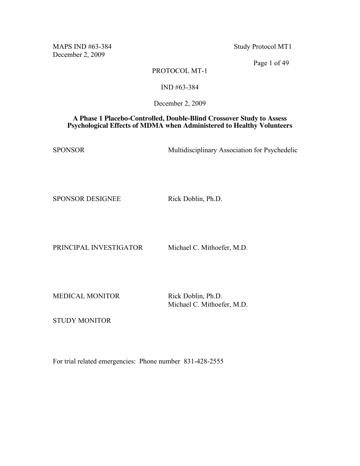MAPS IND #63-384 Study Protocol MT1 December 2, 2009

Page 1 of 49

# PROTOCOL MT-1

### IND #63-384

December 2, 2009

### **A Phase 1 Placebo-Controlled, Double-Blind Crossover Study to Assess Psychological Effects of MDMA when Administered to Healthy Volunteers**

SPONSOR Multidisciplinary Association for Psychedelic

SPONSOR DESIGNEE Rick Doblin, Ph.D.

PRINCIPAL INVESTIGATOR Michael C. Mithoefer, M.D.

MEDICAL MONITOR Rick Doblin, Ph.D.

Michael C. Mithoefer, M.D.

STUDY MONITOR

For trial related emergencies: Phone number 831-428-2555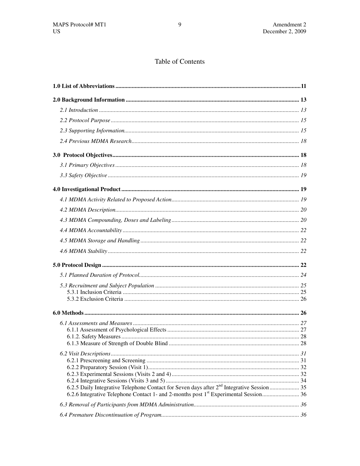# Table of Contents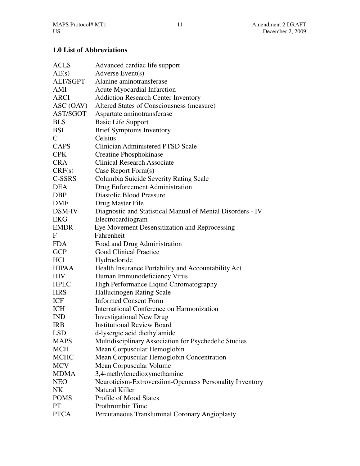# **1.0 List of Abbreviations**

| <b>ACLS</b>     | Advanced cardiac life support                              |
|-----------------|------------------------------------------------------------|
| AE(s)           | Adverse Event(s)                                           |
| <b>ALT/SGPT</b> | Alanine aminotransferase                                   |
| AMI             | <b>Acute Myocardial Infarction</b>                         |
| <b>ARCI</b>     | <b>Addiction Research Center Inventory</b>                 |
| ASC (OAV)       | Altered States of Consciousness (measure)                  |
| AST/SGOT        | Aspartate aminotransferase                                 |
| <b>BLS</b>      | <b>Basic Life Support</b>                                  |
| <b>BSI</b>      | <b>Brief Symptoms Inventory</b>                            |
| $\mathsf{C}$    | Celsius                                                    |
| CAPS            | Clinician Administered PTSD Scale                          |
| <b>CPK</b>      | Creatine Phosphokinase                                     |
| <b>CRA</b>      | <b>Clinical Research Associate</b>                         |
| CRF(s)          | Case Report Form(s)                                        |
| C-SSRS          | Columbia Suicide Severity Rating Scale                     |
| <b>DEA</b>      | Drug Enforcement Administration                            |
| <b>DBP</b>      | Diastolic Blood Pressure                                   |
| DMF             | Drug Master File                                           |
| DSM-IV          | Diagnostic and Statistical Manual of Mental Disorders - IV |
| EKG             | Electrocardiogram                                          |
| <b>EMDR</b>     | Eye Movement Desensitization and Reprocessing              |
| F               | Fahrenheit                                                 |
| <b>FDA</b>      | Food and Drug Administration                               |
| <b>GCP</b>      | <b>Good Clinical Practice</b>                              |
| HCl             | Hydrocloride                                               |
| <b>HIPAA</b>    | Health Insurance Portability and Accountability Act        |
| HIV             | Human Immunodeficiency Virus                               |
| <b>HPLC</b>     | High Performance Liquid Chromatography                     |
| <b>HRS</b>      | <b>Hallucinogen Rating Scale</b>                           |
| ICF             | <b>Informed Consent Form</b>                               |
| <b>ICH</b>      | International Conference on Harmonization                  |
| <b>IND</b>      | <b>Investigational New Drug</b>                            |
| <b>IRB</b>      | <b>Institutional Review Board</b>                          |
| <b>LSD</b>      | d-lysergic acid diethylamide                               |
| <b>MAPS</b>     | Multidisciplinary Association for Psychedelic Studies      |
| <b>MCH</b>      | Mean Corpuscular Hemoglobin                                |
| <b>MCHC</b>     | Mean Corpuscular Hemoglobin Concentration                  |
| <b>MCV</b>      | Mean Corpuscular Volume                                    |
| <b>MDMA</b>     | 3,4-methylenedioxymethamine                                |
| <b>NEO</b>      | Neuroticism-Extroversiion-Openness Personality Inventory   |
| NK              | <b>Natural Killer</b>                                      |
| <b>POMS</b>     | <b>Profile of Mood States</b>                              |
| PT              | Prothrombin Time                                           |
| <b>PTCA</b>     | Percutaneous Transluminal Coronary Angioplasty             |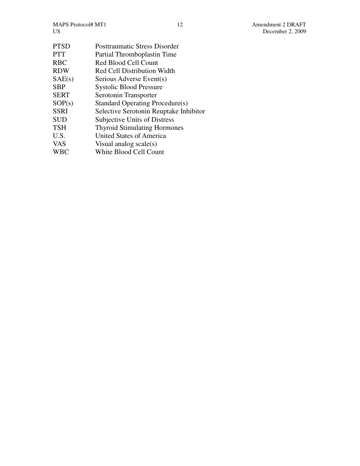MAPS Protocol# MT1 12 Amendment 2 DRAFT<br>US December 2, 2009

| <b>PTSD</b> | <b>Posttraumatic Stress Disorder</b>   |
|-------------|----------------------------------------|
| PTT         | Partial Thromboplastin Time            |
| RBC         | <b>Red Blood Cell Count</b>            |
| RDW         | Red Cell Distribution Width            |
| SAE(s)      | Serious Adverse Event(s)               |
| SBP         | <b>Systolic Blood Pressure</b>         |
| SERT        | Serotonin Transporter                  |
| SOP(s)      | Standard Operating Procedure(s)        |
| SSRI        | Selective Serotonin Reuptake Inhibitor |
| SUD         | Subjective Units of Distress           |
| TSH         | <b>Thyroid Stimulating Hormones</b>    |
| U.S.        | United States of America               |
| VAS         | Visual analog $scale(s)$               |
| WBC         | White Blood Cell Count                 |
|             |                                        |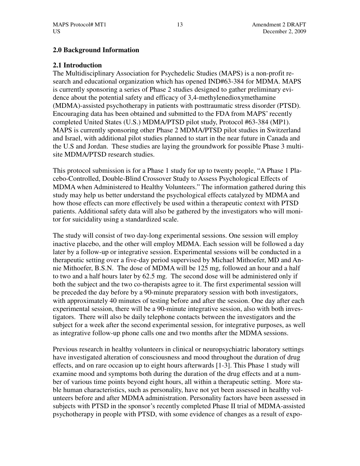# **2.0 Background Information**

# **2.1 Introduction**

The Multidisciplinary Association for Psychedelic Studies (MAPS) is a non-profit research and educational organization which has opened IND#63-384 for MDMA. MAPS is currently sponsoring a series of Phase 2 studies designed to gather preliminary evidence about the potential safety and efficacy of 3,4-methylenedioxymethamine (MDMA)-assisted psychotherapy in patients with posttraumatic stress disorder (PTSD). Encouraging data has been obtained and submitted to the FDA from MAPS' recently completed United States (U.S.) MDMA/PTSD pilot study, Protocol #63-384 (MP1). MAPS is currently sponsoring other Phase 2 MDMA/PTSD pilot studies in Switzerland and Israel, with additional pilot studies planned to start in the near future in Canada and the U.S and Jordan. These studies are laying the groundwork for possible Phase 3 multisite MDMA/PTSD research studies.

This protocol submission is for a Phase 1 study for up to twenty people, "A Phase 1 Placebo-Controlled, Double-Blind Crossover Study to Assess Psychological Effects of MDMA when Administered to Healthy Volunteers." The information gathered during this study may help us better understand the psychological effects catalyzed by MDMA and how those effects can more effectively be used within a therapeutic context with PTSD patients. Additional safety data will also be gathered by the investigators who will monitor for suicidality using a standardized scale.

The study will consist of two day-long experimental sessions. One session will employ inactive placebo, and the other will employ MDMA. Each session will be followed a day later by a follow-up or integrative session. Experimental sessions will be conducted in a therapeutic setting over a five-day period supervised by Michael Mithoefer, MD and Annie Mithoefer, B.S.N. The dose of MDMA will be 125 mg, followed an hour and a half to two and a half hours later by 62.5 mg. The second dose will be administered only if both the subject and the two co-therapists agree to it. The first experimental session will be preceded the day before by a 90-minute preparatory session with both investigators, with approximately 40 minutes of testing before and after the session. One day after each experimental session, there will be a 90-minute integrative session, also with both investigators. There will also be daily telephone contacts between the investigators and the subject for a week after the second experimental session, for integrative purposes, as well as integrative follow-up phone calls one and two months after the MDMA sessions.

Previous research in healthy volunteers in clinical or neuropsychiatric laboratory settings have investigated alteration of consciousness and mood throughout the duration of drug effects, and on rare occasion up to eight hours afterwards [1-3]. This Phase 1 study will examine mood and symptoms both during the duration of the drug effects and at a number of various time points beyond eight hours, all within a therapeutic setting. More stable human characteristics, such as personality, have not yet been assessed in healthy volunteers before and after MDMA administration. Personality factors have been assessed in subjects with PTSD in the sponsor's recently completed Phase II trial of MDMA-assisted psychotherapy in people with PTSD, with some evidence of changes as a result of expo-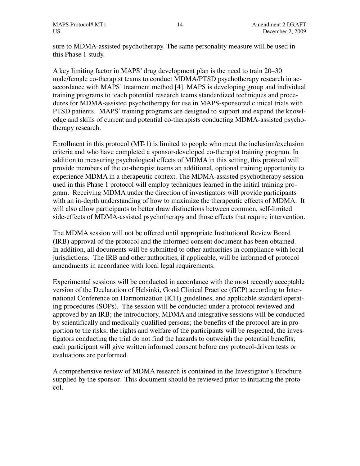sure to MDMA-assisted psychotherapy. The same personality measure will be used in this Phase 1 study.

A key limiting factor in MAPS' drug development plan is the need to train 20–30 male/female co-therapist teams to conduct MDMA/PTSD psychotherapy research in acaccordance with MAPS' treatment method [4]. MAPS is developing group and individual training programs to teach potential research teams standardized techniques and procedures for MDMA-assisted psychotherapy for use in MAPS-sponsored clinical trials with PTSD patients. MAPS' training programs are designed to support and expand the knowledge and skills of current and potential co-therapists conducting MDMA-assisted psychotherapy research.

Enrollment in this protocol (MT-1) is limited to people who meet the inclusion/exclusion criteria and who have completed a sponsor-developed co-therapist training program. In addition to measuring psychological effects of MDMA in this setting, this protocol will provide members of the co-therapist teams an additional, optional training opportunity to experience MDMA in a therapeutic context. The MDMA-assisted psychotherapy session used in this Phase 1 protocol will employ techniques learned in the initial training program. Receiving MDMA under the direction of investigators will provide participants with an in-depth understanding of how to maximize the therapeutic effects of MDMA. It will also allow participants to better draw distinctions between common, self-limited side-effects of MDMA-assisted psychotherapy and those effects that require intervention.

The MDMA session will not be offered until appropriate Institutional Review Board (IRB) approval of the protocol and the informed consent document has been obtained. In addition, all documents will be submitted to other authorities in compliance with local jurisdictions. The IRB and other authorities, if applicable, will be informed of protocol amendments in accordance with local legal requirements.

Experimental sessions will be conducted in accordance with the most recently acceptable version of the Declaration of Helsinki, Good Clinical Practice (GCP) according to International Conference on Harmonization (ICH) guidelines, and applicable standard operating procedures (SOPs). The session will be conducted under a protocol reviewed and approved by an IRB; the introductory, MDMA and integrative sessions will be conducted by scientifically and medically qualified persons; the benefits of the protocol are in proportion to the risks; the rights and welfare of the participants will be respected; the investigators conducting the trial do not find the hazards to outweigh the potential benefits; each participant will give written informed consent before any protocol-driven tests or evaluations are performed.

A comprehensive review of MDMA research is contained in the Investigator's Brochure supplied by the sponsor. This document should be reviewed prior to initiating the protocol.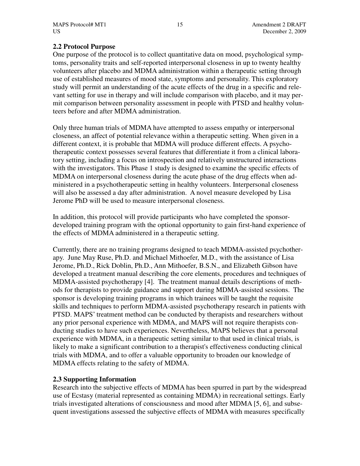# **2.2 Protocol Purpose**

One purpose of the protocol is to collect quantitative data on mood, psychological symptoms, personality traits and self-reported interpersonal closeness in up to twenty healthy volunteers after placebo and MDMA administration within a therapeutic setting through use of established measures of mood state, symptoms and personality. This exploratory study will permit an understanding of the acute effects of the drug in a specific and relevant setting for use in therapy and will include comparison with placebo, and it may permit comparison between personality assessment in people with PTSD and healthy volunteers before and after MDMA administration.

Only three human trials of MDMA have attempted to assess empathy or interpersonal closeness, an affect of potential relevance within a therapeutic setting. When given in a different context, it is probable that MDMA will produce different effects. A psychotherapeutic context possesses several features that differentiate it from a clinical laboratory setting, including a focus on introspection and relatively unstructured interactions with the investigators. This Phase 1 study is designed to examine the specific effects of MDMA on interpersonal closeness during the acute phase of the drug effects when administered in a psychotherapeutic setting in healthy volunteers. Interpersonal closeness will also be assessed a day after administration. A novel measure developed by Lisa Jerome PhD will be used to measure interpersonal closeness.

In addition, this protocol will provide participants who have completed the sponsordeveloped training program with the optional opportunity to gain first-hand experience of the effects of MDMA administered in a therapeutic setting.

Currently, there are no training programs designed to teach MDMA-assisted psychotherapy. June May Ruse, Ph.D. and Michael Mithoefer, M.D., with the assistance of Lisa Jerome, Ph.D., Rick Doblin, Ph.D., Ann Mithoefer, B.S.N., and Elizabeth Gibson have developed a treatment manual describing the core elements, procedures and techniques of MDMA-assisted psychotherapy [4]. The treatment manual details descriptions of methods for therapists to provide guidance and support during MDMA-assisted sessions. The sponsor is developing training programs in which trainees will be taught the requisite skills and techniques to perform MDMA-assisted psychotherapy research in patients with PTSD. MAPS' treatment method can be conducted by therapists and researchers without any prior personal experience with MDMA, and MAPS will not require therapists conducting studies to have such experiences. Nevertheless, MAPS believes that a personal experience with MDMA, in a therapeutic setting similar to that used in clinical trials, is likely to make a significant contribution to a therapist's effectiveness conducting clinical trials with MDMA, and to offer a valuable opportunity to broaden our knowledge of MDMA effects relating to the safety of MDMA.

# **2.3 Supporting Information**

Research into the subjective effects of MDMA has been spurred in part by the widespread use of Ecstasy (material represented as containing MDMA) in recreational settings. Early trials investigated alterations of consciousness and mood after MDMA [5, 6], and subsequent investigations assessed the subjective effects of MDMA with measures specifically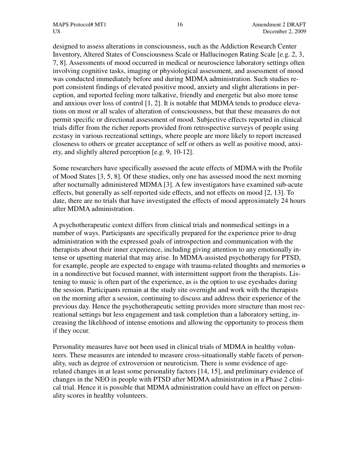designed to assess alterations in consciousness, such as the Addiction Research Center Inventory, Altered States of Consciousness Scale or Hallucinogen Rating Scale [e.g. 2, 3, 7, 8]. Assessments of mood occurred in medical or neuroscience laboratory settings often involving cognitive tasks, imaging or physiological assessment, and assessment of mood was conducted immediately before and during MDMA administration. Such studies report consistent findings of elevated positive mood, anxiety and slight alterations in perception, and reported feeling more talkative, friendly and energetic but also more tense and anxious over loss of control [1, 2]. It is notable that MDMA tends to produce elevations on most or all scales of alteration of consciousness, but that these measures do not permit specific or directional assessment of mood. Subjective effects reported in clinical trials differ from the richer reports provided from retrospective surveys of people using ecstasy in various recreational settings, where people are more likely to report increased closeness to others or greater acceptance of self or others as well as positive mood, anxiety, and slightly altered perception [e.g. 9, 10-12].

Some researchers have specifically assessed the acute effects of MDMA with the Profile of Mood States [3, 5, 8]. Of these studies, only one has assessed mood the next morning after nocturnally administered MDMA [3]. A few investigators have examined sub-acute effects, but generally as self-reported side effects, and not effects on mood [2, 13]. To date, there are no trials that have investigated the effects of mood approximately 24 hours after MDMA administration.

A psychotherapeutic context differs from clinical trials and nonmedical settings in a number of ways. Participants are specifically prepared for the experience prior to drug administration with the expressed goals of introspection and communication with the therapists about their inner experience, including giving attention to any emotionally intense or upsetting material that may arise. In MDMA-assisted psychotherapy for PTSD, for example, people are expected to engage with trauma-related thoughts and memories  $\Theta$ in a nondirective but focused manner, with intermittent support from the therapists. Listening to music is often part of the experience, as is the option to use eyeshades during the session. Participants remain at the study site overnight and work with the therapists on the morning after a session, continuing to discuss and address their experience of the previous day. Hence the psychotherapeutic setting provides more structure than most recreational settings but less engagement and task completion than a laboratory setting, increasing the likelihood of intense emotions and allowing the opportunity to process them if they occur.

Personality measures have not been used in clinical trials of MDMA in healthy volunteers. These measures are intended to measure cross-situationally stable facets of personality, such as degree of extroversion or neuroticism. There is some evidence of agerelated changes in at least some personality factors [14, 15], and preliminary evidence of changes in the NEO in people with PTSD after MDMA administration in a Phase 2 clinical trial. Hence it is possible that MDMA administration could have an effect on personality scores in healthy volunteers.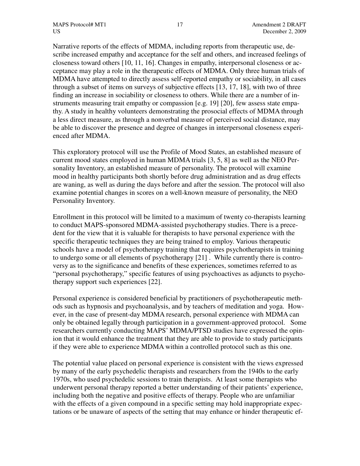Narrative reports of the effects of MDMA, including reports from therapeutic use, describe increased empathy and acceptance for the self and others, and increased feelings of closeness toward others [10, 11, 16]. Changes in empathy, interpersonal closeness or acceptance may play a role in the therapeutic effects of MDMA. Only three human trials of MDMA have attempted to directly assess self-reported empathy or sociability, in all cases through a subset of items on surveys of subjective effects [13, 17, 18], with two of three finding an increase in sociability or closeness to others. While there are a number of instruments measuring trait empathy or compassion [e.g. 19] [20], few assess state empathy. A study in healthy volunteers demonstrating the prosocial effects of MDMA through a less direct measure, as through a nonverbal measure of perceived social distance, may be able to discover the presence and degree of changes in interpersonal closeness experienced after MDMA.

This exploratory protocol will use the Profile of Mood States, an established measure of current mood states employed in human MDMA trials [3, 5, 8] as well as the NEO Personality Inventory, an established measure of personality. The protocol will examine mood in healthy participants both shortly before drug administration and as drug effects are waning, as well as during the days before and after the session. The protocol will also examine potential changes in scores on a well-known measure of personality, the NEO Personality Inventory.

Enrollment in this protocol will be limited to a maximum of twenty co-therapists learning to conduct MAPS-sponsored MDMA-assisted psychotherapy studies. There is a precedent for the view that it is valuable for therapists to have personal experience with the specific therapeutic techniques they are being trained to employ. Various therapeutic schools have a model of psychotherapy training that requires psychotherapists in training to undergo some or all elements of psychotherapy [21] . While currently there is controversy as to the significance and benefits of these experiences, sometimes referred to as "personal psychotherapy," specific features of using psychoactives as adjuncts to psychotherapy support such experiences [22].

Personal experience is considered beneficial by practitioners of psychotherapeutic methods such as hypnosis and psychoanalysis, and by teachers of meditation and yoga. However, in the case of present-day MDMA research, personal experience with MDMA can only be obtained legally through participation in a government-approved protocol. Some researchers currently conducting MAPS' MDMA/PTSD studies have expressed the opinion that it would enhance the treatment that they are able to provide to study participants if they were able to experience MDMA within a controlled protocol such as this one.

The potential value placed on personal experience is consistent with the views expressed by many of the early psychedelic therapists and researchers from the 1940s to the early 1970s, who used psychedelic sessions to train therapists. At least some therapists who underwent personal therapy reported a better understanding of their patients' experience, including both the negative and positive effects of therapy. People who are unfamiliar with the effects of a given compound in a specific setting may hold inappropriate expectations or be unaware of aspects of the setting that may enhance or hinder therapeutic ef-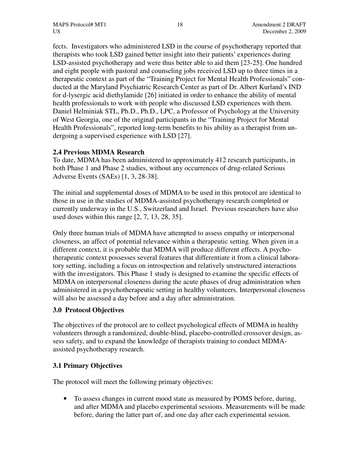fects. Investigators who administered LSD in the course of psychotherapy reported that therapists who took LSD gained better insight into their patients' experiences during LSD-assisted psychotherapy and were thus better able to aid them [23-25]. One hundred and eight people with pastoral and counseling jobs received LSD up to three times in a therapeutic context as part of the "Training Project for Mental Health Professionals" conducted at the Maryland Psychiatric Research Center as part of Dr. Albert Kurland's IND for d-lysergic acid diethylamide [26] initiated in order to enhance the ability of mental health professionals to work with people who discussed LSD experiences with them. Daniel Helminiak STL, Ph.D., Ph.D., LPC, a Professor of Psychology at the University of West Georgia, one of the original participants in the "Training Project for Mental Health Professionals", reported long-term benefits to his ability as a therapist from undergoing a supervised experience with LSD [27].

# **2.4 Previous MDMA Research**

To date, MDMA has been administered to approximately 412 research participants, in both Phase 1 and Phase 2 studies, without any occurrences of drug-related Serious Adverse Events (SAEs) [1, 3, 28-38].

The initial and supplemental doses of MDMA to be used in this protocol are identical to those in use in the studies of MDMA-assisted psychotherapy research completed or currently underway in the U.S., Switzerland and Israel. Previous researchers have also used doses within this range [2, 7, 13, 28, 35].

Only three human trials of MDMA have attempted to assess empathy or interpersonal closeness, an affect of potential relevance within a therapeutic setting. When given in a different context, it is probable that MDMA will produce different effects. A psychotherapeutic context possesses several features that differentiate it from a clinical laboratory setting, including a focus on introspection and relatively unstructured interactions with the investigators. This Phase 1 study is designed to examine the specific effects of MDMA on interpersonal closeness during the acute phases of drug administration when administered in a psychotherapeutic setting in healthy volunteers. Interpersonal closeness will also be assessed a day before and a day after administration.

# **3.0 Protocol Objectives**

The objectives of the protocol are to collect psychological effects of MDMA in healthy volunteers through a randomized, double-blind, placebo-controlled crossover design, assess safety, and to expand the knowledge of therapists training to conduct MDMAassisted psychotherapy research.

# **3.1 Primary Objectives**

The protocol will meet the following primary objectives:

• To assess changes in current mood state as measured by POMS before, during, and after MDMA and placebo experimental sessions. Measurements will be made before, during the latter part of, and one day after each experimental session.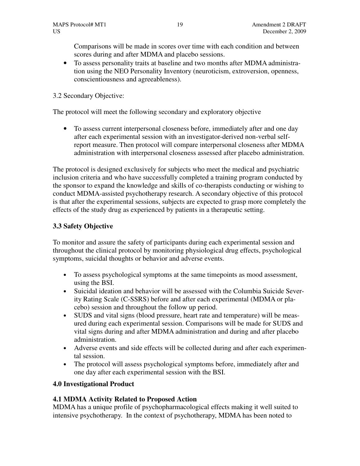Comparisons will be made in scores over time with each condition and between scores during and after MDMA and placebo sessions.

• To assess personality traits at baseline and two months after MDMA administration using the NEO Personality Inventory (neuroticism, extroversion, openness, conscientiousness and agreeableness).

# 3.2 Secondary Objective:

The protocol will meet the following secondary and exploratory objective

• To assess current interpersonal closeness before, immediately after and one day after each experimental session with an investigator-derived non-verbal selfreport measure. Then protocol will compare interpersonal closeness after MDMA administration with interpersonal closeness assessed after placebo administration.

The protocol is designed exclusively for subjects who meet the medical and psychiatric inclusion criteria and who have successfully completed a training program conducted by the sponsor to expand the knowledge and skills of co-therapists conducting or wishing to conduct MDMA-assisted psychotherapy research. A secondary objective of this protocol is that after the experimental sessions, subjects are expected to grasp more completely the effects of the study drug as experienced by patients in a therapeutic setting.

# **3.3 Safety Objective**

To monitor and assure the safety of participants during each experimental session and throughout the clinical protocol by monitoring physiological drug effects, psychological symptoms, suicidal thoughts or behavior and adverse events.

- To assess psychological symptoms at the same timepoints as mood assessment, using the BSI.
- Suicidal ideation and behavior will be assessed with the Columbia Suicide Severity Rating Scale (C-SSRS) before and after each experimental (MDMA or placebo) session and throughout the follow up period.
- SUDS and vital signs (blood pressure, heart rate and temperature) will be measured during each experimental session. Comparisons will be made for SUDS and vital signs during and after MDMA administration and during and after placebo administration.
- Adverse events and side effects will be collected during and after each experimental session.
- The protocol will assess psychological symptoms before, immediately after and one day after each experimental session with the BSI.

# **4.0 Investigational Product**

# **4.1 MDMA Activity Related to Proposed Action**

MDMA has a unique profile of psychopharmacological effects making it well suited to intensive psychotherapy. In the context of psychotherapy, MDMA has been noted to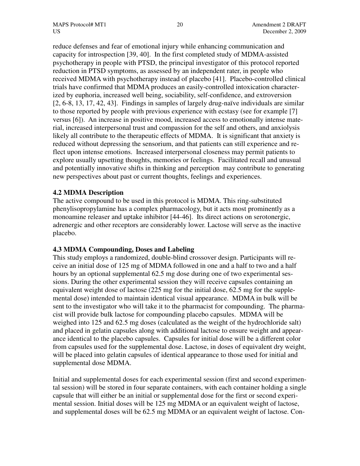reduce defenses and fear of emotional injury while enhancing communication and capacity for introspection [39, 40]. In the first completed study of MDMA-assisted psychotherapy in people with PTSD, the principal investigator of this protocol reported reduction in PTSD symptoms, as assessed by an independent rater, in people who received MDMA with psychotherapy instead of placebo [41]. Placebo-controlled clinical trials have confirmed that MDMA produces an easily-controlled intoxication characterized by euphoria, increased well being, sociability, self-confidence, and extroversion [2, 6-8, 13, 17, 42, 43]. Findings in samples of largely drug-naïve individuals are similar to those reported by people with previous experience with ecstasy (see for example [7] versus [6]). An increase in positive mood, increased access to emotionally intense material, increased interpersonal trust and compassion for the self and others, and anxiolysis likely all contribute to the therapeutic effects of MDMA. It is significant that anxiety is reduced without depressing the sensorium, and that patients can still experience and reflect upon intense emotions. Increased interpersonal closeness may permit patients to explore usually upsetting thoughts, memories or feelings. Facilitated recall and unusual and potentially innovative shifts in thinking and perception may contribute to generating new perspectives about past or current thoughts, feelings and experiences.

# **4.2 MDMA Description**

The active compound to be used in this protocol is MDMA. This ring-substituted phenylisopropylamine has a complex pharmacology, but it acts most prominently as a monoamine releaser and uptake inhibitor [44-46]. Its direct actions on serotonergic, adrenergic and other receptors are considerably lower. Lactose will serve as the inactive placebo.

### **4.3 MDMA Compounding, Doses and Labeling**

This study employs a randomized, double-blind crossover design. Participants will receive an initial dose of 125 mg of MDMA followed in one and a half to two and a half hours by an optional supplemental 62.5 mg dose during one of two experimental sessions. During the other experimental session they will receive capsules containing an equivalent weight dose of lactose (225 mg for the initial dose, 62.5 mg for the supplemental dose) intended to maintain identical visual appearance. MDMA in bulk will be sent to the investigator who will take it to the pharmacist for compounding. The pharmacist will provide bulk lactose for compounding placebo capsules. MDMA will be weighed into 125 and 62.5 mg doses (calculated as the weight of the hydrochloride salt) and placed in gelatin capsules along with additional lactose to ensure weight and appearance identical to the placebo capsules. Capsules for initial dose will be a different color from capsules used for the supplemental dose. Lactose, in doses of equivalent dry weight, will be placed into gelatin capsules of identical appearance to those used for initial and supplemental dose MDMA.

Initial and supplemental doses for each experimental session (first and second experimental session) will be stored in four separate containers, with each container holding a single capsule that will either be an initial or supplemental dose for the first or second experimental session. Initial doses will be 125 mg MDMA or an equivalent weight of lactose, and supplemental doses will be 62.5 mg MDMA or an equivalent weight of lactose. Con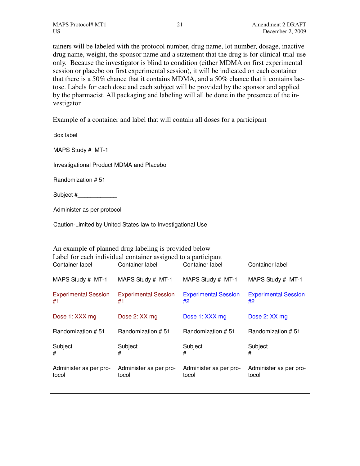tainers will be labeled with the protocol number, drug name, lot number, dosage, inactive drug name, weight, the sponsor name and a statement that the drug is for clinical-trial-use only. Because the investigator is blind to condition (either MDMA on first experimental session or placebo on first experimental session), it will be indicated on each container that there is a 50% chance that it contains MDMA, and a 50% chance that it contains lactose. Labels for each dose and each subject will be provided by the sponsor and applied by the pharmacist. All packaging and labeling will all be done in the presence of the investigator.

Example of a container and label that will contain all doses for a participant

Box label

MAPS Study # MT-1

Investigational Product MDMA and Placebo

Randomization # 51

Subject #

Administer as per protocol

Caution-Limited by United States law to Investigational Use

#### An example of planned drug labeling is provided below Label for each individual container assigned to a participant

| Container label                   | Container label                   | Container label                   | Container label                   |
|-----------------------------------|-----------------------------------|-----------------------------------|-----------------------------------|
| MAPS Study # MT-1                 | MAPS Study # MT-1                 | MAPS Study # MT-1                 | MAPS Study # MT-1                 |
| <b>Experimental Session</b><br>#1 | <b>Experimental Session</b><br>#1 | <b>Experimental Session</b><br>#2 | <b>Experimental Session</b><br>#2 |
| Dose 1: XXX mg                    | Dose 2: XX mg                     | Dose 1: XXX mg                    | Dose 2: XX mg                     |
| Randomization #51                 | Randomization # 51                | Randomization #51                 | Randomization #51                 |
| Subject<br>$^{\#}$                | Subject<br>$^{\#}$ $\qquad$       | Subject<br>#                      | Subject<br>$\#$                   |
| Administer as per pro-<br>tocol   | Administer as per pro-<br>tocol   | Administer as per pro-<br>tocol   | Administer as per pro-<br>tocol   |
|                                   |                                   |                                   |                                   |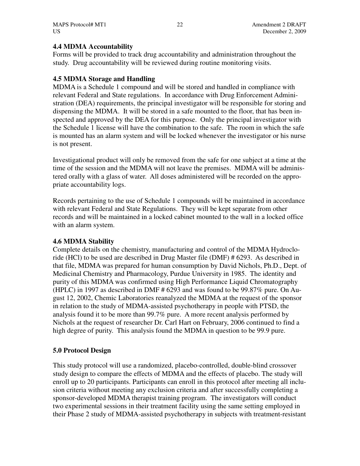# **4.4 MDMA Accountability**

Forms will be provided to track drug accountability and administration throughout the study. Drug accountability will be reviewed during routine monitoring visits.

# **4.5 MDMA Storage and Handling**

MDMA is a Schedule 1 compound and will be stored and handled in compliance with relevant Federal and State regulations. In accordance with Drug Enforcement Administration (DEA) requirements, the principal investigator will be responsible for storing and dispensing the MDMA. It will be stored in a safe mounted to the floor, that has been inspected and approved by the DEA for this purpose. Only the principal investigator with the Schedule 1 license will have the combination to the safe. The room in which the safe is mounted has an alarm system and will be locked whenever the investigator or his nurse is not present.

Investigational product will only be removed from the safe for one subject at a time at the time of the session and the MDMA will not leave the premises. MDMA will be administered orally with a glass of water. All doses administered will be recorded on the appropriate accountability logs.

Records pertaining to the use of Schedule 1 compounds will be maintained in accordance with relevant Federal and State Regulations. They will be kept separate from other records and will be maintained in a locked cabinet mounted to the wall in a locked office with an alarm system.

# **4.6 MDMA Stability**

Complete details on the chemistry, manufacturing and control of the MDMA Hydrocloride (HCl) to be used are described in Drug Master file (DMF) # 6293. As described in that file, MDMA was prepared for human consumption by David Nichols, Ph.D., Dept. of Medicinal Chemistry and Pharmacology, Purdue University in 1985. The identity and purity of this MDMA was confirmed using High Performance Liquid Chromatography (HPLC) in 1997 as described in DMF # 6293 and was found to be 99.87% pure. On August 12, 2002, Chemic Laboratories reanalyzed the MDMA at the request of the sponsor in relation to the study of MDMA-assisted psychotherapy in people with PTSD, the analysis found it to be more than 99.7% pure. A more recent analysis performed by Nichols at the request of researcher Dr. Carl Hart on February, 2006 continued to find a high degree of purity. This analysis found the MDMA in question to be 99.9 pure.

# **5.0 Protocol Design**

This study protocol will use a randomized, placebo-controlled, double-blind crossover study design to compare the effects of MDMA and the effects of placebo. The study will enroll up to 20 participants. Participants can enroll in this protocol after meeting all inclusion criteria without meeting any exclusion criteria and after successfully completing a sponsor-developed MDMA therapist training program. The investigators will conduct two experimental sessions in their treatment facility using the same setting employed in their Phase 2 study of MDMA-assisted psychotherapy in subjects with treatment-resistant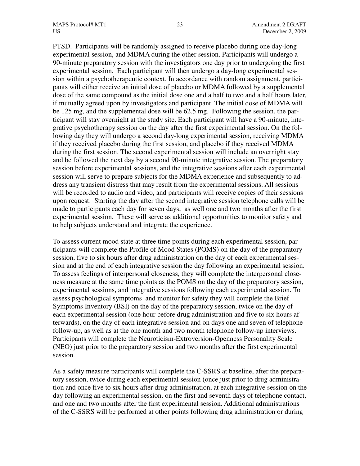PTSD. Participants will be randomly assigned to receive placebo during one day-long experimental session, and MDMA during the other session. Participants will undergo a 90-minute preparatory session with the investigators one day prior to undergoing the first experimental session. Each participant will then undergo a day-long experimental session within a psychotherapeutic context. In accordance with random assignment, participants will either receive an initial dose of placebo or MDMA followed by a supplemental dose of the same compound as the initial dose one and a half to two and a half hours later, if mutually agreed upon by investigators and participant. The initial dose of MDMA will be 125 mg, and the supplemental dose will be 62.5 mg. Following the session, the participant will stay overnight at the study site. Each participant will have a 90-minute, integrative psychotherapy session on the day after the first experimental session. On the following day they will undergo a second day-long experimental session, receiving MDMA if they received placebo during the first session, and placebo if they received MDMA during the first session. The second experimental session will include an overnight stay and be followed the next day by a second 90-minute integrative session. The preparatory session before experimental sessions, and the integrative sessions after each experimental session will serve to prepare subjects for the MDMA experience and subsequently to address any transient distress that may result from the experimental sessions. All sessions will be recorded to audio and video, and participants will receive copies of their sessions upon request. Starting the day after the second integrative session telephone calls will be made to participants each day for seven days, as well one and two months after the first experimental session. These will serve as additional opportunities to monitor safety and to help subjects understand and integrate the experience.

To assess current mood state at three time points during each experimental session, participants will complete the Profile of Mood States (POMS) on the day of the preparatory session, five to six hours after drug administration on the day of each experimental session and at the end of each integrative session the day following an experimental session. To assess feelings of interpersonal closeness, they will complete the interpersonal closeness measure at the same time points as the POMS on the day of the preparatory session, experimental sessions, and integrative sessions following each experimental session. To assess psychological symptoms and monitor for safety they will complete the Brief Symptoms Inventory (BSI) on the day of the preparatory session, twice on the day of each experimental session (one hour before drug administration and five to six hours afterwards), on the day of each integrative session and on days one and seven of telephone follow-up, as well as at the one month and two month telephone follow-up interviews. Participants will complete the Neuroticism-Extroversion-Openness Personality Scale (NEO) just prior to the preparatory session and two months after the first experimental session.

As a safety measure participants will complete the C-SSRS at baseline, after the preparatory session, twice during each experimental session (once just prior to drug administration and once five to six hours after drug administration, at each integrative session on the day following an experimental session, on the first and seventh days of telephone contact, and one and two months after the first experimental session. Additional administrations of the C-SSRS will be performed at other points following drug administration or during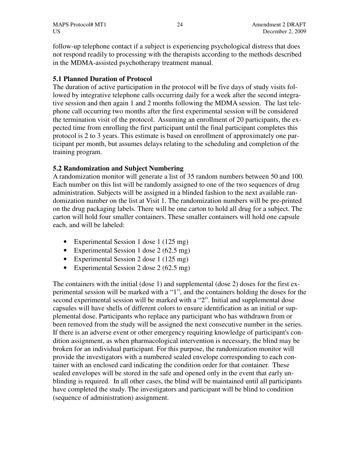follow-up telephone contact if a subject is experiencing psychological distress that does not respond readily to processing with the therapists according to the methods described in the MDMA-assisted psychotherapy treatment manual.

# **5.1 Planned Duration of Protocol**

The duration of active participation in the protocol will be five days of study visits followed by integrative telephone calls occurring daily for a week after the second integrative session and then again 1 and 2 months following the MDMA session. The last telephone call occurring two months after the first experimental session will be considered the termination visit of the protocol. Assuming an enrollment of 20 participants, the expected time from enrolling the first participant until the final participant completes this protocol is 2 to 3 years. This estimate is based on enrollment of approximately one participant per month, but assumes delays relating to the scheduling and completion of the training program.

# **5.2 Randomization and Subject Numbering**

A randomization monitor will generate a list of 35 random numbers between 50 and 100. Each number on this list will be randomly assigned to one of the two sequences of drug administration. Subjects will be assigned in a blinded fashion to the next available randomization number on the list at Visit 1. The randomization numbers will be pre-printed on the drug packaging labels. There will be one carton to hold all drug for a subject. The carton will hold four smaller containers. These smaller containers will hold one capsule each, and will be labeled:

- Experimental Session 1 dose 1 (125 mg)
- Experimental Session 1 dose 2 (62.5 mg)
- Experimental Session 2 dose 1 (125 mg)
- Experimental Session 2 dose 2 (62.5 mg)

The containers with the initial (dose 1) and supplemental (dose 2) doses for the first experimental session will be marked with a "1", and the containers holding the doses for the second experimental session will be marked with a "2". Initial and supplemental dose capsules will have shells of different colors to ensure identification as an initial or supplemental dose. Participants who replace any participant who has withdrawn from or been removed from the study will be assigned the next consecutive number in the series. If there is an adverse event or other emergency requiring knowledge of participant's condition assignment, as when pharmacological intervention is necessary, the blind may be broken for an individual participant. For this purpose, the randomization monitor will provide the investigators with a numbered sealed envelope corresponding to each container with an enclosed card indicating the condition order for that container. These sealed envelopes will be stored in the safe and opened only in the event that early unblinding is required. In all other cases, the blind will be maintained until all participants have completed the study. The investigators and participant will be blind to condition (sequence of administration) assignment.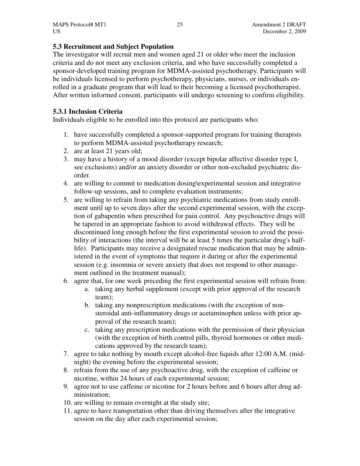# **5.3 Recruitment and Subject Population**

The investigator will recruit men and women aged 21 or older who meet the inclusion criteria and do not meet any exclusion criteria, and who have successfully completed a sponsor-developed training program for MDMA-assisted psychotherapy. Participants will be individuals licensed to perform psychotherapy, physicians, nurses, or individuals enrolled in a graduate program that will lead to their becoming a licensed psychotherapist. After written informed consent, participants will undergo screening to confirm eligibility.

# **5.3.1 Inclusion Criteria**

Individuals eligible to be enrolled into this protocol are participants who:

- 1. have successfully completed a sponsor-supported program for training therapists to perform MDMA-assisted psychotherapy research;
- 2. are at least 21 years old;
- 3. may have a history of a mood disorder (except bipolar affective disorder type I, see exclusions) and/or an anxiety disorder or other non-excluded psychiatric disorder.
- 4. are willing to commit to medication dosing\experimental session and integrative follow-up sessions, and to complete evaluation instruments;
- 5. are willing to refrain from taking any psychiatric medications from study enrollment until up to seven days after the second experimental session, with the exception of gabapentin when prescribed for pain control. Any psychoactive drugs will be tapered in an appropriate fashion to avoid withdrawal effects. They will be discontinued long enough before the first experimental session to avoid the possibility of interactions (the interval will be at least 5 times the particular drug's halflife). Participants may receive a designated rescue medication that may be administered in the event of symptoms that require it during or after the experimental session (e.g. insomnia or severe anxiety that does not respond to other management outlined in the treatment manual);
- 6. agree that, for one week preceding the first experimental session will refrain from:
	- a. taking any herbal supplement (except with prior approval of the research team);
	- b. taking any nonprescription medications (with the exception of nonsteroidal anti-inflammatory drugs or acetaminophen unless with prior approval of the research team);
	- c. taking any prescription medications with the permission of their physician (with the exception of birth control pills, thyroid hormones or other medications approved by the research team);
- 7. agree to take nothing by mouth except alcohol-free liquids after 12:00 A.M. (midnight) the evening before the experimental session;
- 8. refrain from the use of any psychoactive drug, with the exception of caffeine or nicotine, within 24 hours of each experimental session;
- 9. agree not to use caffeine or nicotine for 2 hours before and 6 hours after drug administration;
- 10. are willing to remain overnight at the study site;
- 11. agree to have transportation other than driving themselves after the integrative session on the day after each experimental session;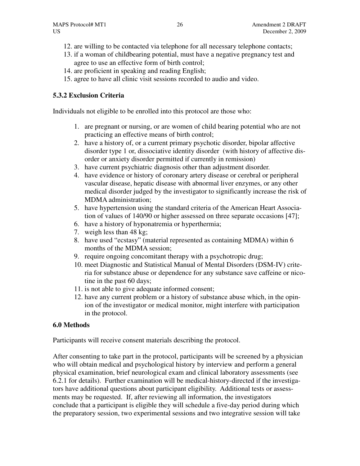- 12. are willing to be contacted via telephone for all necessary telephone contacts;
- 13. if a woman of childbearing potential, must have a negative pregnancy test and agree to use an effective form of birth control;
- 14. are proficient in speaking and reading English;
- 15. agree to have all clinic visit sessions recorded to audio and video.

# **5.3.2 Exclusion Criteria**

Individuals not eligible to be enrolled into this protocol are those who:

- 1. are pregnant or nursing, or are women of child bearing potential who are not practicing an effective means of birth control;
- 2. have a history of, or a current primary psychotic disorder, bipolar affective disorder type 1 or, dissociative identity disorder (with history of affective disorder or anxiety disorder permitted if currently in remission)
- 3. have current psychiatric diagnosis other than adjustment disorder.
- 4. have evidence or history of coronary artery disease or cerebral or peripheral vascular disease, hepatic disease with abnormal liver enzymes, or any other medical disorder judged by the investigator to significantly increase the risk of MDMA administration;
- 5. have hypertension using the standard criteria of the American Heart Association of values of 140/90 or higher assessed on three separate occasions [47];
- 6. have a history of hyponatremia or hyperthermia;
- 7. weigh less than 48 kg;
- 8. have used "ecstasy" (material represented as containing MDMA) within 6 months of the MDMA session;
- 9. require ongoing concomitant therapy with a psychotropic drug;
- 10. meet Diagnostic and Statistical Manual of Mental Disorders (DSM-IV) criteria for substance abuse or dependence for any substance save caffeine or nicotine in the past 60 days;
- 11. is not able to give adequate informed consent;
- 12. have any current problem or a history of substance abuse which, in the opinion of the investigator or medical monitor, might interfere with participation in the protocol.

# **6.0 Methods**

Participants will receive consent materials describing the protocol.

After consenting to take part in the protocol, participants will be screened by a physician who will obtain medical and psychological history by interview and perform a general physical examination, brief neurological exam and clinical laboratory assessments (see 6.2.1 for details). Further examination will be medical-history-directed if the investigators have additional questions about participant eligibility. Additional tests or assessments may be requested. If, after reviewing all information, the investigators conclude that a participant is eligible they will schedule a five-day period during which the preparatory session, two experimental sessions and two integrative session will take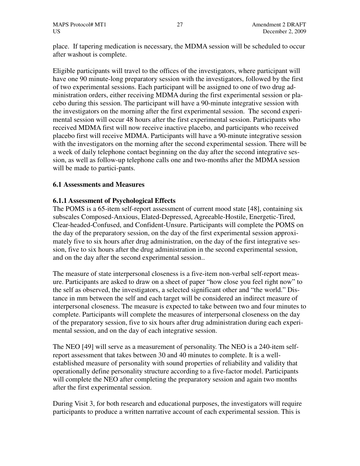place. If tapering medication is necessary, the MDMA session will be scheduled to occur after washout is complete.

Eligible participants will travel to the offices of the investigators, where participant will have one 90 minute-long preparatory session with the investigators, followed by the first of two experimental sessions. Each participant will be assigned to one of two drug administration orders, either receiving MDMA during the first experimental session or placebo during this session. The participant will have a 90-minute integrative session with the investigators on the morning after the first experimental session. The second experimental session will occur 48 hours after the first experimental session. Participants who received MDMA first will now receive inactive placebo, and participants who received placebo first will receive MDMA. Participants will have a 90-minute integrative session with the investigators on the morning after the second experimental session. There will be a week of daily telephone contact beginning on the day after the second integrative session, as well as follow-up telephone calls one and two-months after the MDMA session will be made to partici-pants.

# **6.1 Assessments and Measures**

### **6.1.1 Assessment of Psychological Effects**

The POMS is a 65-item self-report assessment of current mood state [48], containing six subscales Composed-Anxious, Elated-Depressed, Agreeable-Hostile, Energetic-Tired, Clear-headed-Confused, and Confident-Unsure. Participants will complete the POMS on the day of the preparatory session, on the day of the first experimental session approximately five to six hours after drug administration, on the day of the first integrative session, five to six hours after the drug administration in the second experimental session, and on the day after the second experimental session..

The measure of state interpersonal closeness is a five-item non-verbal self-report measure. Participants are asked to draw on a sheet of paper "how close you feel right now" to the self as observed, the investigators, a selected significant other and "the world." Distance in mm between the self and each target will be considered an indirect measure of interpersonal closeness. The measure is expected to take between two and four minutes to complete. Participants will complete the measures of interpersonal closeness on the day of the preparatory session, five to six hours after drug administration during each experimental session, and on the day of each integrative session.

The NEO [49] will serve as a measurement of personality. The NEO is a 240-item selfreport assessment that takes between 30 and 40 minutes to complete. It is a wellestablished measure of personality with sound properties of reliability and validity that operationally define personality structure according to a five-factor model. Participants will complete the NEO after completing the preparatory session and again two months after the first experimental session.

During Visit 3, for both research and educational purposes, the investigators will require participants to produce a written narrative account of each experimental session. This is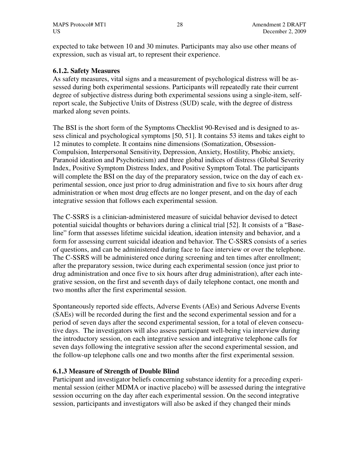expected to take between 10 and 30 minutes. Participants may also use other means of expression, such as visual art, to represent their experience.

### **6.1.2. Safety Measures**

As safety measures, vital signs and a measurement of psychological distress will be assessed during both experimental sessions. Participants will repeatedly rate their current degree of subjective distress during both experimental sessions using a single-item, selfreport scale, the Subjective Units of Distress (SUD) scale, with the degree of distress marked along seven points.

The BSI is the short form of the Symptoms Checklist 90-Revised and is designed to assess clinical and psychological symptoms [50, 51]. It contains 53 items and takes eight to 12 minutes to complete. It contains nine dimensions (Somatization, Obsession-Compulsion, Interpersonal Sensitivity, Depression, Anxiety, Hostility, Phobic anxiety, Paranoid ideation and Psychoticism) and three global indices of distress (Global Severity Index, Positive Symptom Distress Index, and Positive Symptom Total. The participants will complete the BSI on the day of the preparatory session, twice on the day of each experimental session, once just prior to drug administration and five to six hours after drug administration or when most drug effects are no longer present, and on the day of each integrative session that follows each experimental session.

The C-SSRS is a clinician-administered measure of suicidal behavior devised to detect potential suicidal thoughts or behaviors during a clinical trial [52]. It consists of a "Baseline" form that assesses lifetime suicidal ideation, ideation intensity and behavior, and a form for assessing current suicidal ideation and behavior. The C-SSRS consists of a series of questions, and can be administered during face to face interview or over the telephone. The C-SSRS will be administered once during screening and ten times after enrollment; after the preparatory session, twice during each experimental session (once just prior to drug administration and once five to six hours after drug administration), after each integrative session, on the first and seventh days of daily telephone contact, one month and two months after the first experimental session.

Spontaneously reported side effects, Adverse Events (AEs) and Serious Adverse Events (SAEs) will be recorded during the first and the second experimental session and for a period of seven days after the second experimental session, for a total of eleven consecutive days. The investigators will also assess participant well-being via interview during the introductory session, on each integrative session and integrative telephone calls for seven days following the integrative session after the second experimental session, and the follow-up telephone calls one and two months after the first experimental session.

# **6.1.3 Measure of Strength of Double Blind**

Participant and investigator beliefs concerning substance identity for a preceding experimental session (either MDMA or inactive placebo) will be assessed during the integrative session occurring on the day after each experimental session. On the second integrative session, participants and investigators will also be asked if they changed their minds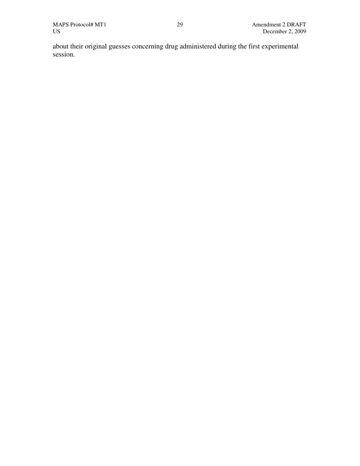about their original guesses concerning drug administered during the first experimental session.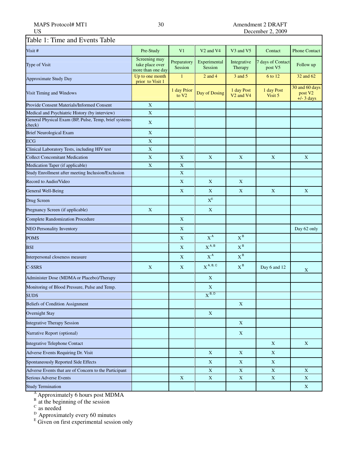#### MAPS Protocol# MT1 30 Amendment 2 DRAFT<br>US December 2, 2009 December 2, 2009

| Table 1: Time and Events Table                                  |                                                       |                                  |                                   |                                                 |                              |                                                       |
|-----------------------------------------------------------------|-------------------------------------------------------|----------------------------------|-----------------------------------|-------------------------------------------------|------------------------------|-------------------------------------------------------|
| Visit #                                                         | Pre-Study                                             | V <sub>1</sub>                   | V <sub>2</sub> and V <sub>4</sub> | V3 and V5                                       | Contact                      | <b>Phone Contact</b>                                  |
| Type of Visit                                                   | Screening may<br>take place over<br>more than one day | Preparatory<br>Session           | Experimental<br>Session           | Integrative<br>Therapy                          | 7 days of Contact<br>post V5 | Follow up                                             |
| <b>Approximate Study Day</b>                                    | Up to one month<br>prior to Visit 1                   | $\mathbf{1}$                     | $2$ and $4$                       | 3 and 5                                         | 6 to 12                      | 32 and 62                                             |
| Visit Timing and Windows                                        |                                                       | 1 day Prior<br>to V <sub>2</sub> | Day of Dosing                     | 1 day Post<br>V <sub>2</sub> and V <sub>4</sub> | 1 day Post<br>Visit 5        | 30 and 60 days<br>post V <sub>2</sub><br>$+/-$ 3 days |
| <b>Provide Consent Materials/Informed Consent</b>               | $\mathbf X$                                           |                                  |                                   |                                                 |                              |                                                       |
| Medical and Psychiatric History (by interview)                  | $\mathbf X$                                           |                                  |                                   |                                                 |                              |                                                       |
| General Physical Exam (BP, Pulse, Temp, brief systems<br>check) | X                                                     |                                  |                                   |                                                 |                              |                                                       |
| <b>Brief Neurological Exam</b>                                  | X                                                     |                                  |                                   |                                                 |                              |                                                       |
| <b>ECG</b>                                                      | $\mathbf X$                                           |                                  |                                   |                                                 |                              |                                                       |
| Clinical Laboratory Tests, including HIV test                   | $\mathbf X$                                           |                                  |                                   |                                                 |                              |                                                       |
| <b>Collect Concomitant Medication</b>                           | $\mathbf X$                                           | X                                | X                                 | X                                               | X                            | X                                                     |
| Medication Taper (if applicable)                                | $\bar{X}$                                             | $\mathbf X$                      |                                   |                                                 |                              |                                                       |
| Study Enrollment after meeting Inclusion/Exclusion              |                                                       | $\mathbf X$                      |                                   |                                                 |                              |                                                       |
| Record to Audio/Video                                           |                                                       | X                                | X                                 | X                                               |                              |                                                       |
| General Well-Being                                              |                                                       | X                                | X                                 | X                                               | X                            | X                                                     |
| Drug Screen                                                     |                                                       |                                  | $\mathbf{X}^{\rm E}$              |                                                 |                              |                                                       |
| Pregnancy Screen (if applicable)                                | $\mathbf X$                                           |                                  | $\mathbf X$                       |                                                 |                              |                                                       |
| <b>Complete Randomization Procedure</b>                         |                                                       | X                                |                                   |                                                 |                              |                                                       |
| <b>NEO Personality Inventory</b>                                |                                                       | X                                |                                   |                                                 |                              | Day 62 only                                           |
| <b>POMS</b>                                                     |                                                       | X                                | $X^A$                             | $X^B$                                           |                              |                                                       |
| <b>BSI</b>                                                      |                                                       | X                                | $X^{A, B}$                        | $X^B$                                           |                              |                                                       |
| Interpersonal closeness measure                                 |                                                       | $\mathbf X$                      | $X^A$                             | $X^B$                                           |                              |                                                       |
| $C$ -SSRS                                                       | X                                                     | X                                | $X^{A, B, C}$                     | $X^B$                                           | Day 6 and 12                 | X                                                     |
| Administer Dose (MDMA or Placebo)/Therapy                       |                                                       |                                  | X                                 |                                                 |                              |                                                       |
| Monitoring of Blood Pressure, Pulse and Temp.                   |                                                       |                                  | $\mathbf X$                       |                                                 |                              |                                                       |
| <b>SUDS</b>                                                     |                                                       |                                  | $X^{B, D}$                        |                                                 |                              |                                                       |
| <b>Beliefs of Condition Assignment</b>                          |                                                       |                                  |                                   | $\mathbf X$                                     |                              |                                                       |
| Overnight Stay                                                  |                                                       |                                  | X                                 |                                                 |                              |                                                       |
| <b>Integrative Therapy Session</b>                              |                                                       |                                  |                                   | X                                               |                              |                                                       |
| Narrative Report (optional)                                     |                                                       |                                  |                                   | X                                               |                              |                                                       |
| Integrative Telephone Contact                                   |                                                       |                                  |                                   |                                                 | X                            | X                                                     |
| Adverse Events Requiring Dr. Visit                              |                                                       |                                  | $\mathbf X$                       | X                                               | X                            |                                                       |
| Spontaneously Reported Side Effects                             |                                                       |                                  | $\mathbf X$                       | $\mathbf X$                                     | $\mathbf X$                  |                                                       |
| Adverse Events that are of Concern to the Participant           |                                                       |                                  | $\mathbf X$                       | $\mathbf X$                                     | $\mathbf X$                  | $\mathbf X$                                           |
| Serious Adverse Events                                          |                                                       | $\mathbf X$                      | $\mathbf X$                       | $\mathbf X$                                     | $\mathbf X$                  | $\mathbf X$                                           |
| <b>Study Termination</b>                                        |                                                       |                                  |                                   |                                                 |                              | $\mathbf X$                                           |

<sup>A</sup> Approximately 6 hours post MDMA

 $B$  at the beginning of the session

 $\rm{c}$  as needed

<sup>D</sup> Approximately every 60 minutes<br><sup>E</sup> Given on first experimental session only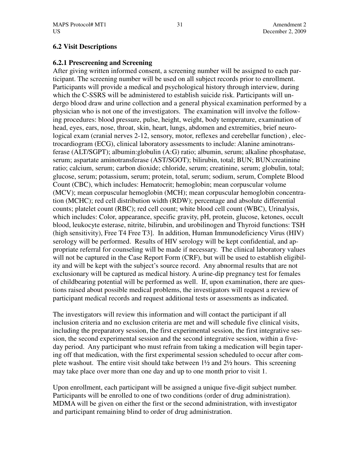### **6.2 Visit Descriptions**

### **6.2.1 Prescreening and Screening**

After giving written informed consent, a screening number will be assigned to each participant. The screening number will be used on all subject records prior to enrollment. Participants will provide a medical and psychological history through interview, during which the C-SSRS will be administered to establish suicide risk. Participants will undergo blood draw and urine collection and a general physical examination performed by a physician who is not one of the investigators. The examination will involve the following procedures: blood pressure, pulse, height, weight, body temperature, examination of head, eyes, ears, nose, throat, skin, heart, lungs, abdomen and extremities, brief neurological exam (cranial nerves 2-12, sensory, motor, reflexes and cerebellar function) , electrocardiogram (ECG), clinical laboratory assessments to include: Alanine aminotransferase (ALT/SGPT); albumin:globulin (A:G) ratio; albumin, serum; alkaline phosphatase, serum; aspartate aminotransferase (AST/SGOT); bilirubin, total; BUN; BUN:creatinine ratio; calcium, serum; carbon dioxide; chloride, serum; creatinine, serum; globulin, total; glucose, serum; potassium, serum; protein, total, serum; sodium, serum, Complete Blood Count (CBC), which includes: Hematocrit; hemoglobin; mean corpuscular volume (MCV); mean corpuscular hemoglobin (MCH); mean corpuscular hemoglobin concentration (MCHC); red cell distribution width (RDW); percentage and absolute differential counts; platelet count (RBC); red cell count; white blood cell count (WBC), Urinalysis, which includes: Color, appearance, specific gravity, pH, protein, glucose, ketones, occult blood, leukocyte esterase, nitrite, bilirubin, and urobilinogen and Thyroid functions: TSH (high sensitivity), Free T4 Free T3]. In addition, Human Immunodeficiency Virus (HIV) serology will be performed. Results of HIV serology will be kept confidential, and appropriate referral for counseling will be made if necessary. The clinical laboratory values will not be captured in the Case Report Form (CRF), but will be used to establish eligibility and will be kept with the subject's source record. Any abnormal results that are not exclusionary will be captured as medical history. A urine-dip pregnancy test for females of childbearing potential will be performed as well. If, upon examination, there are questions raised about possible medical problems, the investigators will request a review of participant medical records and request additional tests or assessments as indicated.

The investigators will review this information and will contact the participant if all inclusion criteria and no exclusion criteria are met and will schedule five clinical visits, including the preparatory session, the first experimental session, the first integrative session, the second experimental session and the second integrative session, within a fiveday period. Any participant who must refrain from taking a medication will begin tapering off that medication, with the first experimental session scheduled to occur after complete washout. The entire visit should take between  $1\frac{1}{2}$  and  $2\frac{1}{2}$  hours. This screening may take place over more than one day and up to one month prior to visit 1.

Upon enrollment, each participant will be assigned a unique five-digit subject number. Participants will be enrolled to one of two conditions (order of drug administration). MDMA will be given on either the first or the second administration, with investigator and participant remaining blind to order of drug administration.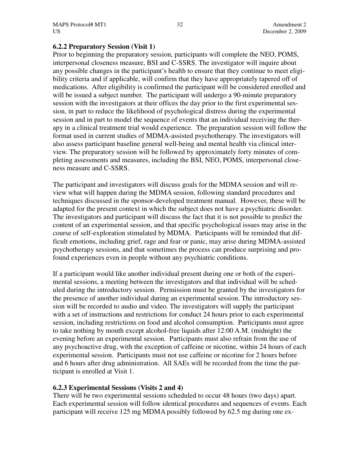### **6.2.2 Preparatory Session (Visit 1)**

Prior to beginning the preparatory session, participants will complete the NEO, POMS, interpersonal closeness measure, BSI and C-SSRS. The investigator will inquire about any possible changes in the participant's health to ensure that they continue to meet eligibility criteria and if applicable, will confirm that they have appropriately tapered off of medications. After eligibility is confirmed the participant will be considered enrolled and will be issued a subject number. The participant will undergo a 90-minute preparatory session with the investigators at their offices the day prior to the first experimental session, in part to reduce the likelihood of psychological distress during the experimental session and in part to model the sequence of events that an individual receiving the therapy in a clinical treatment trial would experience. The preparation session will follow the format used in current studies of MDMA-assisted psychotherapy. The investigators will also assess participant baseline general well-being and mental health via clinical interview. The preparatory session will be followed by approximately forty minutes of completing assessments and measures, including the BSI, NEO, POMS, interpersonal closeness measure and C-SSRS.

The participant and investigators will discuss goals for the MDMA session and will review what will happen during the MDMA session, following standard procedures and techniques discussed in the sponsor-developed treatment manual. However, these will be adapted for the present context in which the subject does not have a psychiatric disorder. The investigators and participant will discuss the fact that it is not possible to predict the content of an experimental session, and that specific psychological issues may arise in the course of self-exploration stimulated by MDMA. Participants will be reminded that difficult emotions, including grief, rage and fear or panic, may arise during MDMA-assisted psychotherapy sessions, and that sometimes the process can produce surprising and profound experiences even in people without any psychiatric conditions.

If a participant would like another individual present during one or both of the experimental sessions, a meeting between the investigators and that individual will be scheduled during the introductory session. Permission must be granted by the investigators for the presence of another individual during an experimental session. The introductory session will be recorded to audio and video. The investigators will supply the participant with a set of instructions and restrictions for conduct 24 hours prior to each experimental session, including restrictions on food and alcohol consumption. Participants must agree to take nothing by mouth except alcohol-free liquids after 12:00 A.M. (midnight) the evening before an experimental session. Participants must also refrain from the use of any psychoactive drug, with the exception of caffeine or nicotine, within 24 hours of each experimental session. Participants must not use caffeine or nicotine for 2 hours before and 6 hours after drug administration. All SAEs will be recorded from the time the participant is enrolled at Visit 1.

# **6.2.3 Experimental Sessions (Visits 2 and 4)**

There will be two experimental sessions scheduled to occur 48 hours (two days) apart. Each experimental session will follow identical procedures and sequences of events. Each participant will receive 125 mg MDMA possibly followed by 62.5 mg during one ex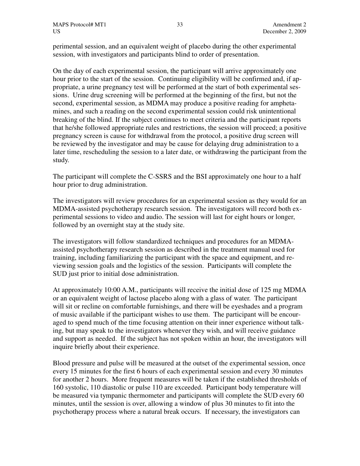perimental session, and an equivalent weight of placebo during the other experimental session, with investigators and participants blind to order of presentation.

On the day of each experimental session, the participant will arrive approximately one hour prior to the start of the session. Continuing eligibility will be confirmed and, if appropriate, a urine pregnancy test will be performed at the start of both experimental sessions. Urine drug screening will be performed at the beginning of the first, but not the second, experimental session, as MDMA may produce a positive reading for amphetamines, and such a reading on the second experimental session could risk unintentional breaking of the blind. If the subject continues to meet criteria and the participant reports that he/she followed appropriate rules and restrictions, the session will proceed; a positive pregnancy screen is cause for withdrawal from the protocol, a positive drug screen will be reviewed by the investigator and may be cause for delaying drug administration to a later time, rescheduling the session to a later date, or withdrawing the participant from the study.

The participant will complete the C-SSRS and the BSI approximately one hour to a half hour prior to drug administration.

The investigators will review procedures for an experimental session as they would for an MDMA-assisted psychotherapy research session. The investigators will record both experimental sessions to video and audio. The session will last for eight hours or longer, followed by an overnight stay at the study site.

The investigators will follow standardized techniques and procedures for an MDMAassisted psychotherapy research session as described in the treatment manual used for training, including familiarizing the participant with the space and equipment, and reviewing session goals and the logistics of the session. Participants will complete the SUD just prior to initial dose administration.

At approximately 10:00 A.M., participants will receive the initial dose of 125 mg MDMA or an equivalent weight of lactose placebo along with a glass of water. The participant will sit or recline on comfortable furnishings, and there will be eyeshades and a program of music available if the participant wishes to use them. The participant will be encouraged to spend much of the time focusing attention on their inner experience without talking, but may speak to the investigators whenever they wish, and will receive guidance and support as needed. If the subject has not spoken within an hour, the investigators will inquire briefly about their experience.

Blood pressure and pulse will be measured at the outset of the experimental session, once every 15 minutes for the first 6 hours of each experimental session and every 30 minutes for another 2 hours. More frequent measures will be taken if the established thresholds of 160 systolic, 110 diastolic or pulse 110 are exceeded. Participant body temperature will be measured via tympanic thermometer and participants will complete the SUD every 60 minutes, until the session is over, allowing a window of plus 30 minutes to fit into the psychotherapy process where a natural break occurs. If necessary, the investigators can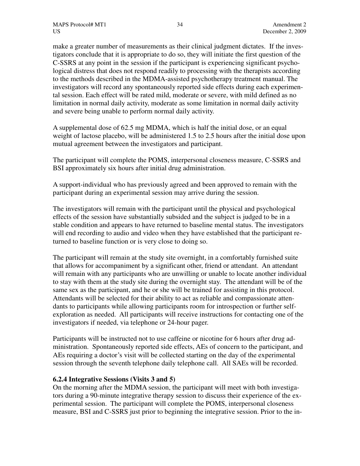make a greater number of measurements as their clinical judgment dictates. If the investigators conclude that it is appropriate to do so, they will initiate the first question of the C-SSRS at any point in the session if the participant is experiencing significant psychological distress that does not respond readily to processing with the therapists according to the methods described in the MDMA-assisted psychotherapy treatment manual. The investigators will record any spontaneously reported side effects during each experimental session. Each effect will be rated mild, moderate or severe, with mild defined as no limitation in normal daily activity, moderate as some limitation in normal daily activity and severe being unable to perform normal daily activity.

A supplemental dose of 62.5 mg MDMA, which is half the initial dose, or an equal weight of lactose placebo, will be administered 1.5 to 2.5 hours after the initial dose upon mutual agreement between the investigators and participant.

The participant will complete the POMS, interpersonal closeness measure, C-SSRS and BSI approximately six hours after initial drug administration.

A support-individual who has previously agreed and been approved to remain with the participant during an experimental session may arrive during the session.

The investigators will remain with the participant until the physical and psychological effects of the session have substantially subsided and the subject is judged to be in a stable condition and appears to have returned to baseline mental status. The investigators will end recording to audio and video when they have established that the participant returned to baseline function or is very close to doing so.

The participant will remain at the study site overnight, in a comfortably furnished suite that allows for accompaniment by a significant other, friend or attendant. An attendant will remain with any participants who are unwilling or unable to locate another individual to stay with them at the study site during the overnight stay. The attendant will be of the same sex as the participant, and he or she will be trained for assisting in this protocol. Attendants will be selected for their ability to act as reliable and compassionate attendants to participants while allowing participants room for introspection or further selfexploration as needed. All participants will receive instructions for contacting one of the investigators if needed, via telephone or 24-hour pager.

Participants will be instructed not to use caffeine or nicotine for 6 hours after drug administration. Spontaneously reported side effects, AEs of concern to the participant, and AEs requiring a doctor's visit will be collected starting on the day of the experimental session through the seventh telephone daily telephone call. All SAEs will be recorded.

# **6.2.4 Integrative Sessions (Visits 3 and 5)**

On the morning after the MDMA session, the participant will meet with both investigators during a 90-minute integrative therapy session to discuss their experience of the experimental session. The participant will complete the POMS, interpersonal closeness measure, BSI and C-SSRS just prior to beginning the integrative session. Prior to the in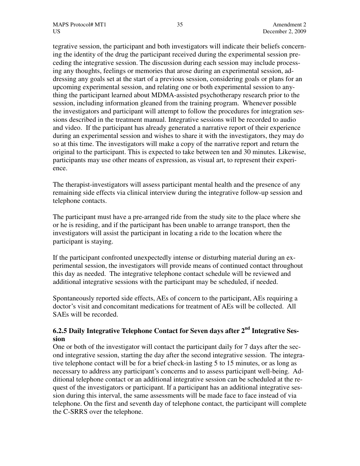tegrative session, the participant and both investigators will indicate their beliefs concerning the identity of the drug the participant received during the experimental session preceding the integrative session. The discussion during each session may include processing any thoughts, feelings or memories that arose during an experimental session, addressing any goals set at the start of a previous session, considering goals or plans for an upcoming experimental session, and relating one or both experimental session to anything the participant learned about MDMA-assisted psychotherapy research prior to the session, including information gleaned from the training program. Whenever possible the investigators and participant will attempt to follow the procedures for integration sessions described in the treatment manual. Integrative sessions will be recorded to audio and video. If the participant has already generated a narrative report of their experience during an experimental session and wishes to share it with the investigators, they may do so at this time. The investigators will make a copy of the narrative report and return the original to the participant. This is expected to take between ten and 30 minutes. Likewise, participants may use other means of expression, as visual art, to represent their experience.

The therapist-investigators will assess participant mental health and the presence of any remaining side effects via clinical interview during the integrative follow-up session and telephone contacts.

The participant must have a pre-arranged ride from the study site to the place where she or he is residing, and if the participant has been unable to arrange transport, then the investigators will assist the participant in locating a ride to the location where the participant is staying.

If the participant confronted unexpectedly intense or disturbing material during an experimental session, the investigators will provide means of continued contact throughout this day as needed. The integrative telephone contact schedule will be reviewed and additional integrative sessions with the participant may be scheduled, if needed.

Spontaneously reported side effects, AEs of concern to the participant, AEs requiring a doctor's visit and concomitant medications for treatment of AEs will be collected. All SAEs will be recorded.

# **6.2.5 Daily Integrative Telephone Contact for Seven days after 2nd Integrative Session**

One or both of the investigator will contact the participant daily for 7 days after the second integrative session, starting the day after the second integrative session. The integrative telephone contact will be for a brief check-in lasting 5 to 15 minutes, or as long as necessary to address any participant's concerns and to assess participant well-being. Additional telephone contact or an additional integrative session can be scheduled at the request of the investigators or participant. If a participant has an additional integrative session during this interval, the same assessments will be made face to face instead of via telephone. On the first and seventh day of telephone contact, the participant will complete the C-SRRS over the telephone.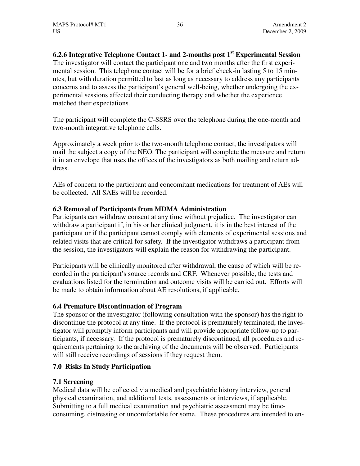**6.2.6 Integrative Telephone Contact 1- and 2-months post 1st Experimental Session**  The investigator will contact the participant one and two months after the first experimental session. This telephone contact will be for a brief check-in lasting 5 to 15 minutes, but with duration permitted to last as long as necessary to address any participants concerns and to assess the participant's general well-being, whether undergoing the experimental sessions affected their conducting therapy and whether the experience matched their expectations.

The participant will complete the C-SSRS over the telephone during the one-month and two-month integrative telephone calls.

Approximately a week prior to the two-month telephone contact, the investigators will mail the subject a copy of the NEO. The participant will complete the measure and return it in an envelope that uses the offices of the investigators as both mailing and return address.

AEs of concern to the participant and concomitant medications for treatment of AEs will be collected. All SAEs will be recorded.

# **6.3 Removal of Participants from MDMA Administration**

Participants can withdraw consent at any time without prejudice. The investigator can withdraw a participant if, in his or her clinical judgment, it is in the best interest of the participant or if the participant cannot comply with elements of experimental sessions and related visits that are critical for safety. If the investigator withdraws a participant from the session, the investigators will explain the reason for withdrawing the participant.

Participants will be clinically monitored after withdrawal, the cause of which will be recorded in the participant's source records and CRF. Whenever possible, the tests and evaluations listed for the termination and outcome visits will be carried out. Efforts will be made to obtain information about AE resolutions, if applicable.

# **6.4 Premature Discontinuation of Program**

The sponsor or the investigator (following consultation with the sponsor) has the right to discontinue the protocol at any time. If the protocol is prematurely terminated, the investigator will promptly inform participants and will provide appropriate follow-up to participants, if necessary. If the protocol is prematurely discontinued, all procedures and requirements pertaining to the archiving of the documents will be observed. Participants will still receive recordings of sessions if they request them.

# **7.0 Risks In Study Participation**

# **7.1 Screening**

Medical data will be collected via medical and psychiatric history interview, general physical examination, and additional tests, assessments or interviews, if applicable. Submitting to a full medical examination and psychiatric assessment may be timeconsuming, distressing or uncomfortable for some. These procedures are intended to en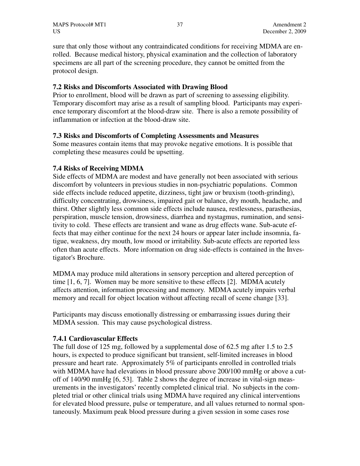sure that only those without any contraindicated conditions for receiving MDMA are enrolled. Because medical history, physical examination and the collection of laboratory specimens are all part of the screening procedure, they cannot be omitted from the protocol design.

# **7.2 Risks and Discomforts Associated with Drawing Blood**

Prior to enrollment, blood will be drawn as part of screening to assessing eligibility. Temporary discomfort may arise as a result of sampling blood. Participants may experience temporary discomfort at the blood-draw site. There is also a remote possibility of inflammation or infection at the blood-draw site.

### **7.3 Risks and Discomforts of Completing Assessments and Measures**

Some measures contain items that may provoke negative emotions. It is possible that completing these measures could be upsetting.

### **7.4 Risks of Receiving MDMA**

Side effects of MDMA are modest and have generally not been associated with serious discomfort by volunteers in previous studies in non-psychiatric populations. Common side effects include reduced appetite, dizziness, tight jaw or bruxism (tooth-grinding), difficulty concentrating, drowsiness, impaired gait or balance, dry mouth, headache, and thirst. Other slightly less common side effects include nausea, restlessness, parasthesias, perspiration, muscle tension, drowsiness, diarrhea and nystagmus, rumination, and sensitivity to cold. These effects are transient and wane as drug effects wane. Sub-acute effects that may either continue for the next 24 hours or appear later include insomnia, fatigue, weakness, dry mouth, low mood or irritability. Sub-acute effects are reported less often than acute effects. More information on drug side-effects is contained in the Investigator's Brochure.

MDMA may produce mild alterations in sensory perception and altered perception of time [1, 6, 7]. Women may be more sensitive to these effects [2]. MDMA acutely affects attention, information processing and memory. MDMA acutely impairs verbal memory and recall for object location without affecting recall of scene change [33].

Participants may discuss emotionally distressing or embarrassing issues during their MDMA session. This may cause psychological distress.

#### **7.4.1 Cardiovascular Effects**

The full dose of 125 mg, followed by a supplemental dose of 62.5 mg after 1.5 to 2.5 hours, is expected to produce significant but transient, self-limited increases in blood pressure and heart rate. Approximately 5% of participants enrolled in controlled trials with MDMA have had elevations in blood pressure above 200/100 mmHg or above a cutoff of 140/90 mmHg [6, 53]. Table 2 shows the degree of increase in vital-sign measurements in the investigators' recently completed clinical trial. No subjects in the completed trial or other clinical trials using MDMA have required any clinical interventions for elevated blood pressure, pulse or temperature, and all values returned to normal spontaneously. Maximum peak blood pressure during a given session in some cases rose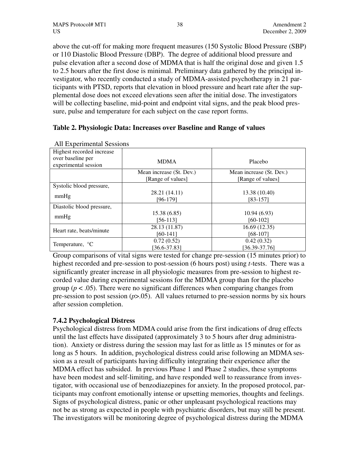above the cut-off for making more frequent measures (150 Systolic Blood Pressure (SBP) or 110 Diastolic Blood Pressure (DBP). The degree of additional blood pressure and pulse elevation after a second dose of MDMA that is half the original dose and given 1.5 to 2.5 hours after the first dose is minimal. Preliminary data gathered by the principal investigator, who recently conducted a study of MDMA-assisted psychotherapy in 21 participants with PTSD, reports that elevation in blood pressure and heart rate after the supplemental dose does not exceed elevations seen after the initial dose. The investigators will be collecting baseline, mid-point and endpoint vital signs, and the peak blood pressure, pulse and temperature for each subject on the case report forms.

# **Table 2. Physiologic Data: Increases over Baseline and Range of values**

| Highest recorded increase |                          |                          |
|---------------------------|--------------------------|--------------------------|
| over baseline per         | <b>MDMA</b>              | Placebo                  |
| experimental session      |                          |                          |
|                           | Mean increase (St. Dev.) | Mean increase (St. Dev.) |
|                           | [Range of values]        | [Range of values]        |
| Systolic blood pressure,  |                          |                          |
|                           | 28.21 (14.11)            | 13.38 (10.40)            |
| mmHg                      | $[96-179]$               | $[83-157]$               |
| Diastolic blood pressure, |                          |                          |
|                           | 15.38(6.85)              | 10.94(6.93)              |
| mmHg                      | $[56-113]$               | $[60-102]$               |
|                           | 28.13 (11.87)            | 16.69(12.35)             |
| Heart rate, beats/minute  | $[60-141]$               | $[68-107]$               |
|                           | 0.72(0.52)               | 0.42(0.32)               |
| Temperature, $^{\circ}$ C | $[36.6 - 37.83]$         | $[36.39 - 37.76]$        |

All Experimental Sessions

Group comparisons of vital signs were tested for change pre-session (15 minutes prior) to highest recorded and pre-session to post-session (6 hours post) using *t-*tests. There was a significantly greater increase in all physiologic measures from pre-session to highest recorded value during experimental sessions for the MDMA group than for the placebo group ( $p < .05$ ). There were no significant differences when comparing changes from pre-session to post session (*p*>.05). All values returned to pre-session norms by six hours after session completion.

# **7.4.2 Psychological Distress**

Psychological distress from MDMA could arise from the first indications of drug effects until the last effects have dissipated (approximately 3 to 5 hours after drug administration). Anxiety or distress during the session may last for as little as 15 minutes or for as long as 5 hours. In addition, psychological distress could arise following an MDMA session as a result of participants having difficulty integrating their experience after the MDMA effect has subsided. In previous Phase 1 and Phase 2 studies, these symptoms have been modest and self-limiting, and have responded well to reassurance from investigator, with occasional use of benzodiazepines for anxiety. In the proposed protocol, participants may confront emotionally intense or upsetting memories, thoughts and feelings. Signs of psychological distress, panic or other unpleasant psychological reactions may not be as strong as expected in people with psychiatric disorders, but may still be present. The investigators will be monitoring degree of psychological distress during the MDMA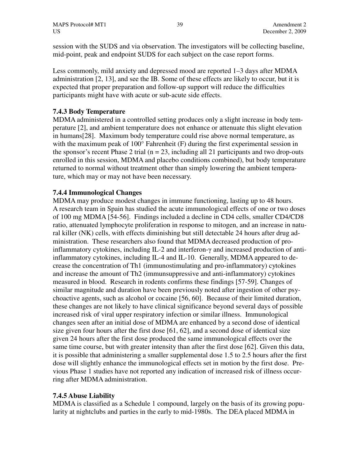session with the SUDS and via observation. The investigators will be collecting baseline, mid-point, peak and endpoint SUDS for each subject on the case report forms.

Less commonly, mild anxiety and depressed mood are reported 1–3 days after MDMA administration [2, 13], and see the IB. Some of these effects are likely to occur, but it is expected that proper preparation and follow-up support will reduce the difficulties participants might have with acute or sub-acute side effects.

# **7.4.3 Body Temperature**

MDMA administered in a controlled setting produces only a slight increase in body temperature [2], and ambient temperature does not enhance or attenuate this slight elevation in humans[28]. Maximum body temperature could rise above normal temperature, as with the maximum peak of 100° Fahrenheit (F) during the first experimental session in the sponsor's recent Phase 2 trial ( $n = 23$ , including all 21 participants and two drop-outs enrolled in this session, MDMA and placebo conditions combined), but body temperature returned to normal without treatment other than simply lowering the ambient temperature, which may or may not have been necessary.

### **7.4.4 Immunological Changes**

MDMA may produce modest changes in immune functioning, lasting up to 48 hours. A research team in Spain has studied the acute immunological effects of one or two doses of 100 mg MDMA [54-56]. Findings included a decline in CD4 cells, smaller CD4/CD8 ratio, attenuated lymphocyte proliferation in response to mitogen, and an increase in natural killer (NK) cells, with effects diminishing but still detectable 24 hours after drug administration. These researchers also found that MDMA decreased production of proinflammatory cytokines, including IL-2 and interferon-γ and increased production of antiinflammatory cytokines, including IL-4 and IL-10. Generally, MDMA appeared to decrease the concentration of Th1 (immunostimulating and pro-inflammatory) cytokines and increase the amount of Th2 (immunsuppressive and anti-inflammatory) cytokines measured in blood. Research in rodents confirms these findings [57-59]. Changes of similar magnitude and duration have been previously noted after ingestion of other psychoactive agents, such as alcohol or cocaine [56, 60]. Because of their limited duration, these changes are not likely to have clinical significance beyond several days of possible increased risk of viral upper respiratory infection or similar illness. Immunological changes seen after an initial dose of MDMA are enhanced by a second dose of identical size given four hours after the first dose [61, 62], and a second dose of identical size given 24 hours after the first dose produced the same immunological effects over the same time course, but with greater intensity than after the first dose [62]. Given this data, it is possible that administering a smaller supplemental dose 1.5 to 2.5 hours after the first dose will slightly enhance the immunological effects set in motion by the first dose. Previous Phase 1 studies have not reported any indication of increased risk of illness occurring after MDMA administration.

# **7.4.5 Abuse Liability**

MDMA is classified as a Schedule 1 compound, largely on the basis of its growing popularity at nightclubs and parties in the early to mid-1980s. The DEA placed MDMA in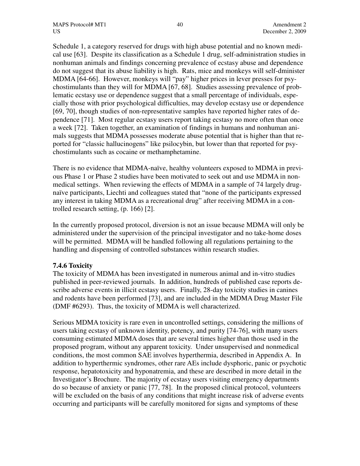Schedule 1, a category reserved for drugs with high abuse potential and no known medical use [63]. Despite its classification as a Schedule 1 drug, self-administration studies in nonhuman animals and findings concerning prevalence of ecstasy abuse and dependence do not suggest that its abuse liability is high. Rats, mice and monkeys will self-dminister MDMA [64-66]. However, monkeys will "pay" higher prices in lever presses for psychostimulants than they will for MDMA [67, 68]. Studies assessing prevalence of problematic ecstasy use or dependence suggest that a small percentage of individuals, especially those with prior psychological difficulties, may develop ecstasy use or dependence [69, 70], though studies of non-representative samples have reported higher rates of dependence [71]. Most regular ecstasy users report taking ecstasy no more often than once a week [72]. Taken together, an examination of findings in humans and nonhuman animals suggests that MDMA possesses moderate abuse potential that is higher than that reported for "classic hallucinogens" like psilocybin, but lower than that reported for psychostimulants such as cocaine or methamphetamine.

There is no evidence that MDMA-naïve, healthy volunteers exposed to MDMA in previous Phase 1 or Phase 2 studies have been motivated to seek out and use MDMA in nonmedical settings. When reviewing the effects of MDMA in a sample of 74 largely drugnaïve participants, Liechti and colleagues stated that "none of the participants expressed any interest in taking MDMA as a recreational drug" after receiving MDMA in a controlled research setting, (p. 166) [2].

In the currently proposed protocol, diversion is not an issue because MDMA will only be administered under the supervision of the principal investigator and no take-home doses will be permitted. MDMA will be handled following all regulations pertaining to the handling and dispensing of controlled substances within research studies.

# **7.4.6 Toxicity**

The toxicity of MDMA has been investigated in numerous animal and in-vitro studies published in peer-reviewed journals. In addition, hundreds of published case reports describe adverse events in illicit ecstasy users. Finally, 28-day toxicity studies in canines and rodents have been performed [73], and are included in the MDMA Drug Master File (DMF #6293). Thus, the toxicity of MDMA is well characterized.

Serious MDMA toxicity is rare even in uncontrolled settings, considering the millions of users taking ecstasy of unknown identity, potency, and purity [74-76], with many users consuming estimated MDMA doses that are several times higher than those used in the proposed program, without any apparent toxicity. Under unsupervised and nonmedical conditions, the most common SAE involves hyperthermia, described in Appendix A. In addition to hyperthermic syndromes, other rare AEs include dysphoric, panic or psychotic response, hepatotoxicity and hyponatremia, and these are described in more detail in the Investigator's Brochure. The majority of ecstasy users visiting emergency departments do so because of anxiety or panic [77, 78]. In the proposed clinical protocol, volunteers will be excluded on the basis of any conditions that might increase risk of adverse events occurring and participants will be carefully monitored for signs and symptoms of these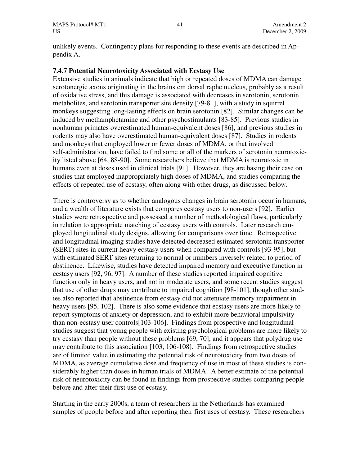unlikely events. Contingency plans for responding to these events are described in Appendix A.

### **7.4.7 Potential Neurotoxicity Associated with Ecstasy Use**

Extensive studies in animals indicate that high or repeated doses of MDMA can damage serotonergic axons originating in the brainstem dorsal raphe nucleus, probably as a result of oxidative stress, and this damage is associated with decreases in serotonin, serotonin metabolites, and serotonin transporter site density [79-81], with a study in squirrel monkeys suggesting long-lasting effects on brain serotonin [82]. Similar changes can be induced by methamphetamine and other psychostimulants [83-85]. Previous studies in nonhuman primates overestimated human-equivalent doses [86], and previous studies in rodents may also have overestimated human-equivalent doses [87]. Studies in rodents and monkeys that employed lower or fewer doses of MDMA, or that involved self-administration, have failed to find some or all of the markers of serotonin neurotoxicity listed above [64, 88-90]. Some researchers believe that MDMA is neurotoxic in humans even at doses used in clinical trials [91]. However, they are basing their case on studies that employed inappropriately high doses of MDMA, and studies comparing the effects of repeated use of ecstasy, often along with other drugs, as discussed below.

There is controversy as to whether analogous changes in brain serotonin occur in humans, and a wealth of literature exists that compares ecstasy users to non-users [92]. Earlier studies were retrospective and possessed a number of methodological flaws, particularly in relation to appropriate matching of ecstasy users with controls. Later research employed longitudinal study designs, allowing for comparisons over time. Retrospective and longitudinal imaging studies have detected decreased estimated serotonin transporter (SERT) sites in current heavy ecstasy users when compared with controls [93-95], but with estimated SERT sites returning to normal or numbers inversely related to period of abstinence. Likewise, studies have detected impaired memory and executive function in ecstasy users [92, 96, 97]. A number of these studies reported impaired cognitive function only in heavy users, and not in moderate users, and some recent studies suggest that use of other drugs may contribute to impaired cognition [98-101], though other studies also reported that abstinence from ecstasy did not attenuate memory impairment in heavy users [95, 102]. There is also some evidence that ecstasy users are more likely to report symptoms of anxiety or depression, and to exhibit more behavioral impulsivity than non-ecstasy user controls[103-106]. Findings from prospective and longitudinal studies suggest that young people with existing psychological problems are more likely to try ecstasy than people without these problems [69, 70], and it appears that polydrug use may contribute to this association [103, 106-108]. Findings from retrospective studies are of limited value in estimating the potential risk of neurotoxicity from two doses of MDMA, as average cumulative dose and frequency of use in most of these studies is considerably higher than doses in human trials of MDMA. A better estimate of the potential risk of neurotoxicity can be found in findings from prospective studies comparing people before and after their first use of ecstasy.

Starting in the early 2000s, a team of researchers in the Netherlands has examined samples of people before and after reporting their first uses of ecstasy. These researchers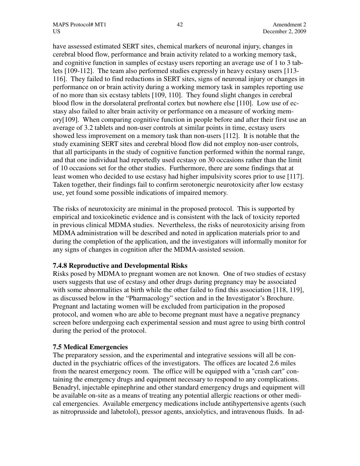have assessed estimated SERT sites, chemical markers of neuronal injury, changes in cerebral blood flow, performance and brain activity related to a working memory task, and cognitive function in samples of ecstasy users reporting an average use of 1 to 3 tablets [109-112]. The team also performed studies expressly in heavy ecstasy users [113- 116]. They failed to find reductions in SERT sites, signs of neuronal injury or changes in performance on or brain activity during a working memory task in samples reporting use of no more than six ecstasy tablets [109, 110]. They found slight changes in cerebral blood flow in the dorsolateral prefrontal cortex but nowhere else [110]. Low use of ecstasy also failed to alter brain activity or performance on a measure of working memory[109]. When comparing cognitive function in people before and after their first use an average of 3.2 tablets and non-user controls at similar points in time, ecstasy users showed less improvement on a memory task than non-users [112]. It is notable that the study examining SERT sites and cerebral blood flow did not employ non-user controls, that all participants in the study of cognitive function performed within the normal range, and that one individual had reportedly used ecstasy on 30 occasions rather than the limit of 10 occasions set for the other studies. Furthermore, there are some findings that at least women who decided to use ecstasy had higher impulsivity scores prior to use [117]. Taken together, their findings fail to confirm serotonergic neurotoxicity after low ecstasy use, yet found some possible indications of impaired memory.

The risks of neurotoxicity are minimal in the proposed protocol. This is supported by empirical and toxicokinetic evidence and is consistent with the lack of toxicity reported in previous clinical MDMA studies. Nevertheless, the risks of neurotoxicity arising from MDMA administration will be described and noted in application materials prior to and during the completion of the application, and the investigators will informally monitor for any signs of changes in cognition after the MDMA-assisted session.

#### **7.4.8 Reproductive and Developmental Risks**

Risks posed by MDMA to pregnant women are not known. One of two studies of ecstasy users suggests that use of ecstasy and other drugs during pregnancy may be associated with some abnormalities at birth while the other failed to find this association [118, 119], as discussed below in the "Pharmacology" section and in the Investigator's Brochure. Pregnant and lactating women will be excluded from participation in the proposed protocol, and women who are able to become pregnant must have a negative pregnancy screen before undergoing each experimental session and must agree to using birth control during the period of the protocol.

#### **7.5 Medical Emergencies**

The preparatory session, and the experimental and integrative sessions will all be conducted in the psychiatric offices of the investigators. The offices are located 2.6 miles from the nearest emergency room. The office will be equipped with a "crash cart" containing the emergency drugs and equipment necessary to respond to any complications. Benadryl, injectable epinephrine and other standard emergency drugs and equipment will be available on-site as a means of treating any potential allergic reactions or other medical emergencies. Available emergency medications include antihypertensive agents (such as nitroprusside and labetolol), pressor agents, anxiolytics, and intravenous fluids. In ad-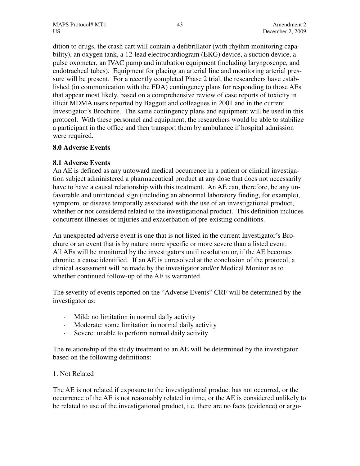dition to drugs, the crash cart will contain a defibrillator (with rhythm monitoring capability), an oxygen tank, a 12-lead electrocardiogram (EKG) device, a suction device, a pulse oxometer, an IVAC pump and intubation equipment (including laryngoscope, and endotracheal tubes). Equipment for placing an arterial line and monitoring arterial pressure will be present. For a recently completed Phase 2 trial, the researchers have established (in communication with the FDA) contingency plans for responding to those AEs that appear most likely, based on a comprehensive review of case reports of toxicity in illicit MDMA users reported by Baggott and colleagues in 2001 and in the current Investigator's Brochure. The same contingency plans and equipment will be used in this protocol. With these personnel and equipment, the researchers would be able to stabilize a participant in the office and then transport them by ambulance if hospital admission were required.

# **8.0 Adverse Events**

# **8.1 Adverse Events**

An AE is defined as any untoward medical occurrence in a patient or clinical investigation subject administered a pharmaceutical product at any dose that does not necessarily have to have a causal relationship with this treatment. An AE can, therefore, be any unfavorable and unintended sign (including an abnormal laboratory finding, for example), symptom, or disease temporally associated with the use of an investigational product, whether or not considered related to the investigational product. This definition includes concurrent illnesses or injuries and exacerbation of pre-existing conditions.

An unexpected adverse event is one that is not listed in the current Investigator's Brochure or an event that is by nature more specific or more severe than a listed event. All AEs will be monitored by the investigators until resolution or, if the AE becomes chronic, a cause identified. If an AE is unresolved at the conclusion of the protocol, a clinical assessment will be made by the investigator and/or Medical Monitor as to whether continued follow-up of the AE is warranted.

The severity of events reported on the "Adverse Events" CRF will be determined by the investigator as:

- Mild: no limitation in normal daily activity
- Moderate: some limitation in normal daily activity
- · Severe: unable to perform normal daily activity

The relationship of the study treatment to an AE will be determined by the investigator based on the following definitions:

# 1. Not Related

The AE is not related if exposure to the investigational product has not occurred, or the occurrence of the AE is not reasonably related in time, or the AE is considered unlikely to be related to use of the investigational product, i.e. there are no facts (evidence) or argu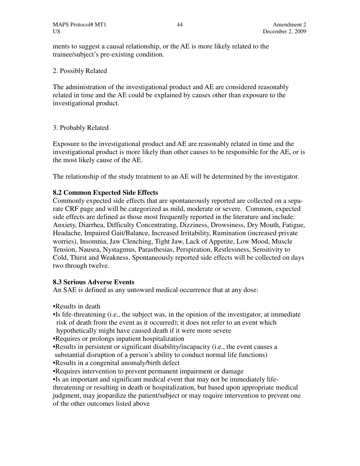ments to suggest a causal relationship, or the AE is more likely related to the trainee/subject's pre-existing condition.

### 2. Possibly Related

The administration of the investigational product and AE are considered reasonably related in time and the AE could be explained by causes other than exposure to the investigational product.

# 3. Probably Related

Exposure to the investigational product and AE are reasonably related in time and the investigational product is more likely than other causes to be responsible for the AE, or is the most likely cause of the AE.

The relationship of the study treatment to an AE will be determined by the investigator.

# **8.2 Common Expected Side Effects**

Commonly expected side effects that are spontaneously reported are collected on a separate CRF page and will be categorized as mild, moderate or severe. Common, expected side effects are defined as those most frequently reported in the literature and include: Anxiety, Diarrhea, Difficulty Concentrating, Dizziness, Drowsiness, Dry Mouth, Fatigue, Headache, Impaired Gait/Balance, Increased Irritability, Rumination (increased private worries), Insomnia, Jaw Clenching, Tight Jaw, Lack of Appetite, Low Mood, Muscle Tension, Nausea, Nystagmus, Parasthesias, Perspiration, Restlessness, Sensitivity to Cold, Thirst and Weakness. Spontaneously reported side effects will be collected on days two through twelve.

#### **8.3 Serious Adverse Events**

An SAE is defined as any untoward medical occurrence that at any dose:

- •Results in death
- •Is life-threatening (i.e., the subject was, in the opinion of the investigator, at immediate risk of death from the event as it occurred); it does not refer to an event which hypothetically might have caused death if it were more severe
- •Requires or prolongs inpatient hospitalization
- •Results in persistent or significant disability/incapacity (i.e., the event causes a
- substantial disruption of a person's ability to conduct normal life functions)
- •Results in a congenital anomaly/birth defect
- •Requires intervention to prevent permanent impairment or damage

•Is an important and significant medical event that may not be immediately lifethreatening or resulting in death or hospitalization, but based upon appropriate medical judgment, may jeopardize the patient/subject or may require intervention to prevent one of the other outcomes listed above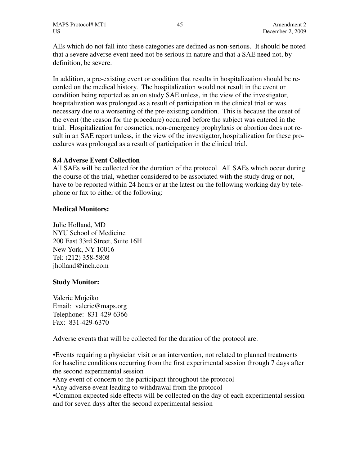AEs which do not fall into these categories are defined as non-serious. It should be noted that a severe adverse event need not be serious in nature and that a SAE need not, by definition, be severe.

In addition, a pre-existing event or condition that results in hospitalization should be recorded on the medical history. The hospitalization would not result in the event or condition being reported as an on study SAE unless, in the view of the investigator, hospitalization was prolonged as a result of participation in the clinical trial or was necessary due to a worsening of the pre-existing condition. This is because the onset of the event (the reason for the procedure) occurred before the subject was entered in the trial. Hospitalization for cosmetics, non-emergency prophylaxis or abortion does not result in an SAE report unless, in the view of the investigator, hospitalization for these procedures was prolonged as a result of participation in the clinical trial.

# **8.4 Adverse Event Collection**

All SAEs will be collected for the duration of the protocol. All SAEs which occur during the course of the trial, whether considered to be associated with the study drug or not, have to be reported within 24 hours or at the latest on the following working day by telephone or fax to either of the following:

# **Medical Monitors:**

Julie Holland, MD NYU School of Medicine 200 East 33rd Street, Suite 16H New York, NY 10016 Tel: (212) 358-5808 jholland@inch.com

# **Study Monitor:**

Valerie Mojeiko Email: valerie@maps.org Telephone: 831-429-6366 Fax: 831-429-6370

Adverse events that will be collected for the duration of the protocol are:

•Events requiring a physician visit or an intervention, not related to planned treatments for baseline conditions occurring from the first experimental session through 7 days after the second experimental session

•Any event of concern to the participant throughout the protocol

•Any adverse event leading to withdrawal from the protocol

•Common expected side effects will be collected on the day of each experimental session and for seven days after the second experimental session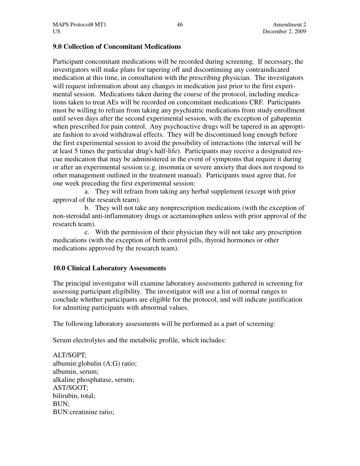### **9.0 Collection of Concomitant Medications**

Participant concomitant medications will be recorded during screening. If necessary, the investigators will make plans for tapering off and discontinuing any contraindicated medication at this time, in consultation with the prescribing physician. The investigators will request information about any changes in medication just prior to the first experimental session. Medications taken during the course of the protocol, including medications taken to treat AEs will be recorded on concomitant medications CRF. Participants must be willing to refrain from taking any psychiatric medications from study enrollment until seven days after the second experimental session, with the exception of gabapentin when prescribed for pain control. Any psychoactive drugs will be tapered in an appropriate fashion to avoid withdrawal effects. They will be discontinued long enough before the first experimental session to avoid the possibility of interactions (the interval will be at least 5 times the particular drug's half-life). Participants may receive a designated rescue medication that may be administered in the event of symptoms that require it during or after an experimental session (e.g. insomnia or severe anxiety that does not respond to other management outlined in the treatment manual). Participants must agree that, for one week preceding the first experimental session:

a. They will refrain from taking any herbal supplement (except with prior approval of the research team).

b. They will not take any nonprescription medications (with the exception of non-steroidal anti-inflammatory drugs or acetaminophen unless with prior approval of the research team).

c. With the permission of their physician they will not take any prescription medications (with the exception of birth control pills, thyroid hormones or other medications approved by the research team).

# **10.0 Clinical Laboratory Assessments**

The principal investigator will examine laboratory assessments gathered in screening for assessing participant eligibility. The investigator will use a list of normal ranges to conclude whether participants are eligible for the protocol, and will indicate justification for admitting participants with abnormal values.

The following laboratory assessments will be performed as a part of screening:

Serum electrolytes and the metabolic profile, which includes:

ALT/SGPT; albumin:globulin (A:G) ratio; albumin, serum; alkaline phosphatase, serum; AST/SGOT; bilirubin, total; BUN; BUN:creatinine ratio;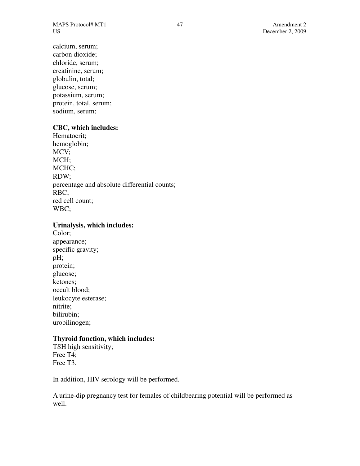MAPS Protocol# MT1 47 Amendment 2 US December 2, 2009

calcium, serum; carbon dioxide; chloride, serum; creatinine, serum; globulin, total; glucose, serum; potassium, serum; protein, total, serum; sodium, serum;

### **CBC, which includes:**

Hematocrit; hemoglobin; MCV; MCH; MCHC; RDW; percentage and absolute differential counts; RBC; red cell count; WBC;

#### **Urinalysis, which includes:**

Color; appearance; specific gravity; pH; protein; glucose; ketones; occult blood; leukocyte esterase; nitrite; bilirubin; urobilinogen;

### **Thyroid function, which includes:**

TSH high sensitivity; Free T4; Free T3.

In addition, HIV serology will be performed.

A urine-dip pregnancy test for females of childbearing potential will be performed as well.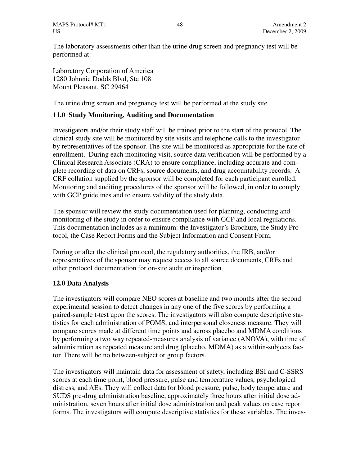The laboratory assessments other than the urine drug screen and pregnancy test will be performed at:

Laboratory Corporation of America 1280 Johnnie Dodds Blvd, Ste 108 Mount Pleasant, SC 29464

The urine drug screen and pregnancy test will be performed at the study site.

# **11.0 Study Monitoring, Auditing and Documentation**

Investigators and/or their study staff will be trained prior to the start of the protocol. The clinical study site will be monitored by site visits and telephone calls to the investigator by representatives of the sponsor. The site will be monitored as appropriate for the rate of enrollment. During each monitoring visit, source data verification will be performed by a Clinical Research Associate (CRA) to ensure compliance, including accurate and complete recording of data on CRFs, source documents, and drug accountability records. A CRF collation supplied by the sponsor will be completed for each participant enrolled. Monitoring and auditing procedures of the sponsor will be followed, in order to comply with GCP guidelines and to ensure validity of the study data.

The sponsor will review the study documentation used for planning, conducting and monitoring of the study in order to ensure compliance with GCP and local regulations. This documentation includes as a minimum: the Investigator's Brochure, the Study Protocol, the Case Report Forms and the Subject Information and Consent Form.

During or after the clinical protocol, the regulatory authorities, the IRB, and/or representatives of the sponsor may request access to all source documents, CRFs and other protocol documentation for on-site audit or inspection.

# **12.0 Data Analysis**

The investigators will compare NEO scores at baseline and two months after the second experimental session to detect changes in any one of the five scores by performing a paired-sample t-test upon the scores. The investigators will also compute descriptive statistics for each administration of POMS, and interpersonal closeness measure. They will compare scores made at different time points and across placebo and MDMA conditions by performing a two way repeated-measures analysis of variance (ANOVA), with time of administration as repeated measure and drug (placebo, MDMA) as a within-subjects factor. There will be no between-subject or group factors.

The investigators will maintain data for assessment of safety, including BSI and C-SSRS scores at each time point, blood pressure, pulse and temperature values, psychological distress, and AEs. They will collect data for blood pressure, pulse, body temperature and SUDS pre-drug administration baseline, approximately three hours after initial dose administration, seven hours after initial dose administration and peak values on case report forms. The investigators will compute descriptive statistics for these variables. The inves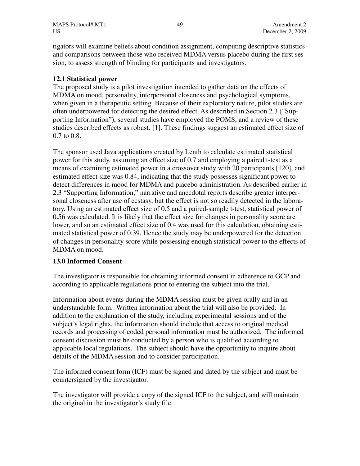tigators will examine beliefs about condition assignment, computing descriptive statistics and comparisons between those who received MDMA versus placebo during the first session, to assess strength of blinding for participants and investigators.

# **12.1 Statistical power**

The proposed study is a pilot investigation intended to gather data on the effects of MDMA on mood, personality, interpersonal closeness and psychological symptoms, when given in a therapeutic setting. Because of their exploratory nature, pilot studies are often underpowered for detecting the desired effect. As described in Section 2.3 ("Supporting Information"), several studies have employed the POMS, and a review of these studies described effects as robust. [1]. These findings suggest an estimated effect size of 0.7 to 0.8.

The sponsor used Java applications created by Lenth to calculate estimated statistical power for this study, assuming an effect size of 0.7 and employing a paired t-test as a means of examining estimated power in a crossover study with 20 participants [120], and estimated effect size was 0.84, indicating that the study possesses significant power to detect differences in mood for MDMA and placebo administration. As described earlier in 2.3 "Supporting Information," narrative and anecdotal reports describe greater interpersonal closeness after use of ecstasy, but the effect is not so readily detected in the laboratory. Using an estimated effect size of 0.5 and a paired-sample t-test, statistical power of 0.56 was calculated. It is likely that the effect size for changes in personality score are lower, and so an estimated effect size of 0.4 was used for this calculation, obtaining estimated statistical power of 0.39. Hence the study may be underpowered for the detection of changes in personality score while possessing enough statistical power to the effects of MDMA on mood.

# **13.0 Informed Consent**

The investigator is responsible for obtaining informed consent in adherence to GCP and according to applicable regulations prior to entering the subject into the trial.

Information about events during the MDMA session must be given orally and in an understandable form. Written information about the trial will also be provided. In addition to the explanation of the study, including experimental sessions and of the subject's legal rights, the information should include that access to original medical records and processing of coded personal information must be authorized. The informed consent discussion must be conducted by a person who is qualified according to applicable local regulations. The subject should have the opportunity to inquire about details of the MDMA session and to consider participation.

The informed consent form (ICF) must be signed and dated by the subject and must be countersigned by the investigator.

The investigator will provide a copy of the signed ICF to the subject, and will maintain the original in the investigator's study file.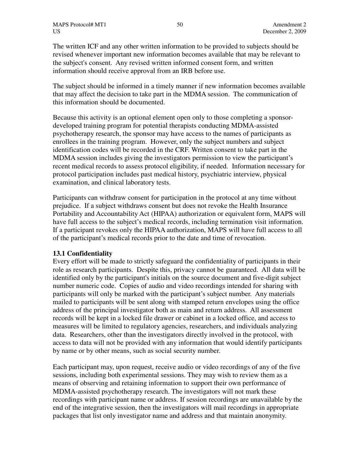The written ICF and any other written information to be provided to subjects should be revised whenever important new information becomes available that may be relevant to the subject's consent. Any revised written informed consent form, and written information should receive approval from an IRB before use.

The subject should be informed in a timely manner if new information becomes available that may affect the decision to take part in the MDMA session. The communication of this information should be documented.

Because this activity is an optional element open only to those completing a sponsordeveloped training program for potential therapists conducting MDMA-assisted psychotherapy research, the sponsor may have access to the names of participants as enrollees in the training program. However, only the subject numbers and subject identification codes will be recorded in the CRF. Written consent to take part in the MDMA session includes giving the investigators permission to view the participant's recent medical records to assess protocol eligibility, if needed. Information necessary for protocol participation includes past medical history, psychiatric interview, physical examination, and clinical laboratory tests.

Participants can withdraw consent for participation in the protocol at any time without prejudice. If a subject withdraws consent but does not revoke the Health Insurance Portability and Accountability Act (HIPAA) authorization or equivalent form, MAPS will have full access to the subject's medical records, including termination visit information. If a participant revokes only the HIPAA authorization, MAPS will have full access to all of the participant's medical records prior to the date and time of revocation.

# **13.1 Confidentiality**

Every effort will be made to strictly safeguard the confidentiality of participants in their role as research participants. Despite this, privacy cannot be guaranteed. All data will be identified only by the participant's initials on the source document and five-digit subject number numeric code. Copies of audio and video recordings intended for sharing with participants will only be marked with the participant's subject number. Any materials mailed to participants will be sent along with stamped return envelopes using the office address of the principal investigator both as main and return address. All assessment records will be kept in a locked file drawer or cabinet in a locked office, and access to measures will be limited to regulatory agencies, researchers, and individuals analyzing data. Researchers, other than the investigators directly involved in the protocol, with access to data will not be provided with any information that would identify participants by name or by other means, such as social security number.

Each participant may, upon request, receive audio or video recordings of any of the five sessions, including both experimental sessions. They may wish to review them as a means of observing and retaining information to support their own performance of MDMA-assisted psychotherapy research. The investigators will not mark these recordings with participant name or address. If session recordings are unavailable by the end of the integrative session, then the investigators will mail recordings in appropriate packages that list only investigator name and address and that maintain anonymity.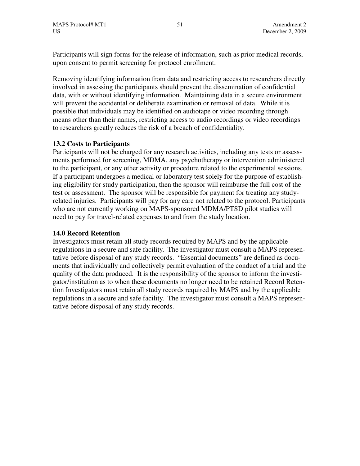Participants will sign forms for the release of information, such as prior medical records, upon consent to permit screening for protocol enrollment.

Removing identifying information from data and restricting access to researchers directly involved in assessing the participants should prevent the dissemination of confidential data, with or without identifying information. Maintaining data in a secure environment will prevent the accidental or deliberate examination or removal of data. While it is possible that individuals may be identified on audiotape or video recording through means other than their names, restricting access to audio recordings or video recordings to researchers greatly reduces the risk of a breach of confidentiality.

# **13.2 Costs to Participants**

Participants will not be charged for any research activities, including any tests or assessments performed for screening, MDMA, any psychotherapy or intervention administered to the participant, or any other activity or procedure related to the experimental sessions. If a participant undergoes a medical or laboratory test solely for the purpose of establishing eligibility for study participation, then the sponsor will reimburse the full cost of the test or assessment. The sponsor will be responsible for payment for treating any studyrelated injuries. Participants will pay for any care not related to the protocol. Participants who are not currently working on MAPS-sponsored MDMA/PTSD pilot studies will need to pay for travel-related expenses to and from the study location.

#### **14.0 Record Retention**

Investigators must retain all study records required by MAPS and by the applicable regulations in a secure and safe facility. The investigator must consult a MAPS representative before disposal of any study records. "Essential documents" are defined as documents that individually and collectively permit evaluation of the conduct of a trial and the quality of the data produced. It is the responsibility of the sponsor to inform the investigator/institution as to when these documents no longer need to be retained Record Retention Investigators must retain all study records required by MAPS and by the applicable regulations in a secure and safe facility. The investigator must consult a MAPS representative before disposal of any study records.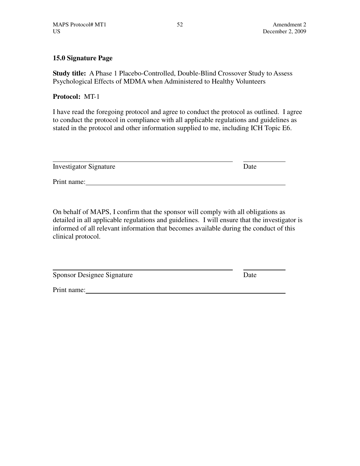# **15.0 Signature Page**

**Study title:** A Phase 1 Placebo-Controlled, Double-Blind Crossover Study to Assess Psychological Effects of MDMA when Administered to Healthy Volunteers

# **Protocol:** MT-1

I have read the foregoing protocol and agree to conduct the protocol as outlined. I agree to conduct the protocol in compliance with all applicable regulations and guidelines as stated in the protocol and other information supplied to me, including ICH Topic E6.

| <b>Investigator Signature</b> | Date |
|-------------------------------|------|
| Print name:                   |      |

On behalf of MAPS, I confirm that the sponsor will comply with all obligations as detailed in all applicable regulations and guidelines. I will ensure that the investigator is informed of all relevant information that becomes available during the conduct of this clinical protocol.

Sponsor Designee Signature Date

Print name: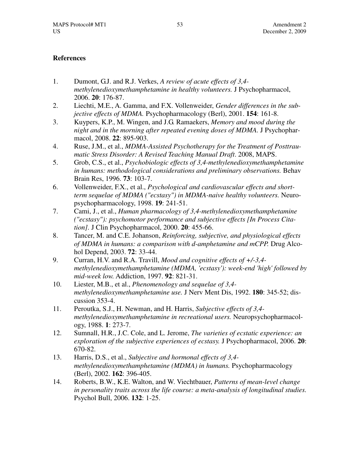# **References**

- 1. Dumont, G.J. and R.J. Verkes, *A review of acute effects of 3,4 methylenedioxymethamphetamine in healthy volunteers.* J Psychopharmacol, 2006. **20**: 176-87.
- 2. Liechti, M.E., A. Gamma, and F.X. Vollenweider, *Gender differences in the subjective effects of MDMA.* Psychopharmacology (Berl), 2001. **154**: 161-8.
- 3. Kuypers, K.P., M. Wingen, and J.G. Ramaekers, *Memory and mood during the night and in the morning after repeated evening doses of MDMA.* J Psychopharmacol, 2008. **22**: 895-903.
- 4. Ruse, J.M., et al., *MDMA-Assisted Psychotherapy for the Treatment of Posttrau*matic Stress Disorder: A Revised Teaching Manual Draft. 2008, MAPS.
- 5. Grob, C.S., et al., *Psychobiologic effects of 3,4-methylenedioxymethamphetamine in humans: methodological considerations and preliminary observations.* Behav Brain Res, 1996. **73**: 103-7.
- 6. Vollenweider, F.X., et al., *Psychological and cardiovascular effects and shortterm sequelae of MDMA ("ecstasy") in MDMA-naive healthy volunteers.* Neuropsychopharmacology, 1998. **19**: 241-51.
- 7. Cami, J., et al., *Human pharmacology of 3,4-methylenedioxymethamphetamine ("ecstasy"): psychomotor performance and subjective effects [In Process Citation].* J Clin Psychopharmacol, 2000. **20**: 455-66.
- 8. Tancer, M. and C.E. Johanson, *Reinforcing, subjective, and physiological effects of MDMA in humans: a comparison with d-amphetamine and mCPP.* Drug Alcohol Depend, 2003. **72**: 33-44.
- 9. Curran, H.V. and R.A. Travill, *Mood and cognitive effects of +/-3,4 methylenedioxymethamphetamine (MDMA, 'ecstasy'): week-end 'high' followed by mid-week low.* Addiction, 1997. **92**: 821-31.
- 10. Liester, M.B., et al., *Phenomenology and sequelae of 3,4 methylenedioxymethamphetamine use.* J Nerv Ment Dis, 1992. **180**: 345-52; discussion 353-4.
- 11. Peroutka, S.J., H. Newman, and H. Harris, *Subjective effects of 3,4 methylenedioxymethamphetamine in recreational users.* Neuropsychopharmacology, 1988. **1**: 273-7.
- 12. Sumnall, H.R., J.C. Cole, and L. Jerome, *The varieties of ecstatic experience: an exploration of the subjective experiences of ecstasy.* J Psychopharmacol, 2006. **20**: 670-82.
- 13. Harris, D.S., et al., *Subjective and hormonal effects of 3,4 methylenedioxymethamphetamine (MDMA) in humans.* Psychopharmacology (Berl), 2002. **162**: 396-405.
- 14. Roberts, B.W., K.E. Walton, and W. Viechtbauer, *Patterns of mean-level change in personality traits across the life course: a meta-analysis of longitudinal studies.* Psychol Bull, 2006. **132**: 1-25.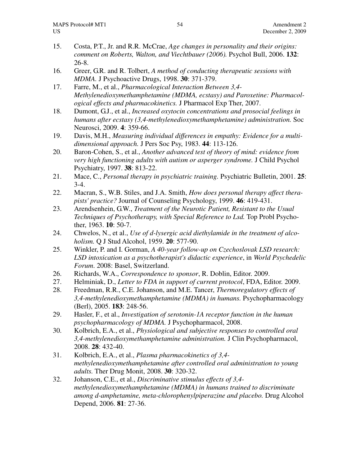- 15. Costa, P.T., Jr. and R.R. McCrae, *Age changes in personality and their origins: comment on Roberts, Walton, and Viechtbauer (2006).* Psychol Bull, 2006. **132**: 26-8.
- 16. Greer, G.R. and R. Tolbert, *A method of conducting therapeutic sessions with MDMA.* J Psychoactive Drugs, 1998. **30**: 371-379.
- 17. Farre, M., et al., *Pharmacological Interaction Between 3,4- Methylenedioxymethamphetamine (MDMA, ecstasy) and Paroxetine: Pharmacological effects and pharmacokinetics.* J Pharmacol Exp Ther, 2007.
- 18. Dumont, G.J., et al., *Increased oxytocin concentrations and prosocial feelings in humans after ecstasy (3,4-methylenedioxymethamphetamine) administration.* Soc Neurosci, 2009. **4**: 359-66.
- 19. Davis, M.H., *Measuring individual differences in empathy: Evidence for a multidimensional approach.* J Pers Soc Psy, 1983. **44**: 113-126.
- 20. Baron-Cohen, S., et al., *Another advanced test of theory of mind: evidence from very high functioning adults with autism or asperger syndrome.* J Child Psychol Psychiatry, 1997. **38**: 813-22.
- 21. Mace, C., *Personal therapy in psychiatric training.* Psychiatric Bulletin, 2001. **25**: 3-4.
- 22. Macran, S., W.B. Stiles, and J.A. Smith, *How does personal therapy affect therapists' practice?* Journal of Counseling Psychology, 1999. **46**: 419-431.
- 23. Arendsenhein, G.W., *Treatment of the Neurotic Patient, Resistant to the Usual Techniques of Psychotherapy, with Special Reference to Lsd.* Top Probl Psychother, 1963. **10**: 50-7.
- 24. Chwelos, N., et al., *Use of d-lysergic acid diethylamide in the treatment of alcoholism.* Q J Stud Alcohol, 1959. **20**: 577-90.
- 25. Winkler, P. and I. Gorman, *A 40-year follow-up on Czechoslovak LSD research: LSD intoxication as a psychotherapist's didactic experience*, in *World Psychedelic Forum*. 2008: Basel, Switzerland.
- 26. Richards, W.A., *Correspondence to sponsor*, R. Doblin, Editor. 2009.
- 27. Helminiak, D., *Letter to FDA in support of current protocol*, FDA, Editor. 2009.
- 28. Freedman, R.R., C.E. Johanson, and M.E. Tancer, *Thermoregulatory effects of 3,4-methylenedioxymethamphetamine (MDMA) in humans.* Psychopharmacology (Berl), 2005. **183**: 248-56.
- 29. Hasler, F., et al., *Investigation of serotonin-1A receptor function in the human psychopharmacology of MDMA.* J Psychopharmacol, 2008.
- 30. Kolbrich, E.A., et al., *Physiological and subjective responses to controlled oral 3,4-methylenedioxymethamphetamine administration.* J Clin Psychopharmacol, 2008. **28**: 432-40.
- 31. Kolbrich, E.A., et al., *Plasma pharmacokinetics of 3,4 methylenedioxymethamphetamine after controlled oral administration to young adults.* Ther Drug Monit, 2008. **30**: 320-32.
- 32. Johanson, C.E., et al., *Discriminative stimulus effects of 3,4 methylenedioxymethamphetamine (MDMA) in humans trained to discriminate among d-amphetamine, meta-chlorophenylpiperazine and placebo.* Drug Alcohol Depend, 2006. **81**: 27-36.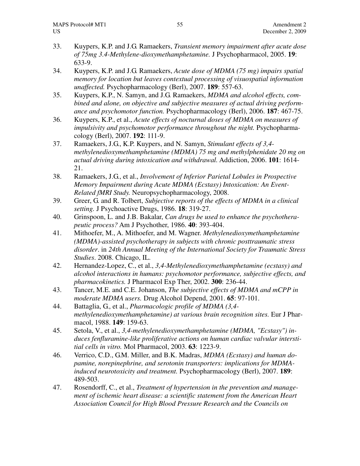- 33. Kuypers, K.P. and J.G. Ramaekers, *Transient memory impairment after acute dose of 75mg 3.4-Methylene-dioxymethamphetamine.* J Psychopharmacol, 2005. **19**: 633-9.
- 34. Kuypers, K.P. and J.G. Ramaekers, *Acute dose of MDMA (75 mg) impairs spatial memory for location but leaves contextual processing of visuospatial information unaffected.* Psychopharmacology (Berl), 2007. **189**: 557-63.
- 35. Kuypers, K.P., N. Samyn, and J.G. Ramaekers, *MDMA and alcohol effects, combined and alone, on objective and subjective measures of actual driving performance and psychomotor function.* Psychopharmacology (Berl), 2006. **187**: 467-75.
- 36. Kuypers, K.P., et al., *Acute effects of nocturnal doses of MDMA on measures of impulsivity and psychomotor performance throughout the night.* Psychopharmacology (Berl), 2007. **192**: 111-9.
- 37. Ramaekers, J.G., K.P. Kuypers, and N. Samyn, *Stimulant effects of 3,4 methylenedioxymethamphetamine (MDMA) 75 mg and methylphenidate 20 mg on actual driving during intoxication and withdrawal.* Addiction, 2006. **101**: 1614- 21.
- 38. Ramaekers, J.G., et al., *Involvement of Inferior Parietal Lobules in Prospective Memory Impairment during Acute MDMA (Ecstasy) Intoxication: An Event-Related fMRI Study.* Neuropsychopharmacology, 2008.
- 39. Greer, G. and R. Tolbert, *Subjective reports of the effects of MDMA in a clinical setting.* J Psychoactive Drugs, 1986. **18**: 319-27.
- 40. Grinspoon, L. and J.B. Bakalar, *Can drugs be used to enhance the psychotherapeutic process?* Am J Psychother, 1986. **40**: 393-404.
- 41. Mithoefer, M., A. Mithoefer, and M. Wagner. *Methylenedioxymethamphetamine (MDMA)-assisted psychotherapy in subjects with chronic posttraumatic stress disorder*. in *24th Annual Meeting of the International Society for Traumatic Stress Studies*. 2008. Chicago, IL.
- 42. Hernandez-Lopez, C., et al., *3,4-Methylenedioxymethamphetamine (ecstasy) and alcohol interactions in humans: psychomotor performance, subjective effects, and pharmacokinetics.* J Pharmacol Exp Ther, 2002. **300**: 236-44.
- 43. Tancer, M.E. and C.E. Johanson, *The subjective effects of MDMA and mCPP in moderate MDMA users.* Drug Alcohol Depend, 2001. **65**: 97-101.
- 44. Battaglia, G., et al., *Pharmacologic profile of MDMA (3,4 methylenedioxymethamphetamine) at various brain recognition sites.* Eur J Pharmacol, 1988. **149**: 159-63.
- 45. Setola, V., et al., *3,4-methylenedioxymethamphetamine (MDMA, "Ecstasy") induces fenfluramine-like proliferative actions on human cardiac valvular interstitial cells in vitro.* Mol Pharmacol, 2003. **63**: 1223-9.
- 46. Verrico, C.D., G.M. Miller, and B.K. Madras, *MDMA (Ecstasy) and human dopamine, norepinephrine, and serotonin transporters: implications for MDMAinduced neurotoxicity and treatment.* Psychopharmacology (Berl), 2007. **189**: 489-503.
- 47. Rosendorff, C., et al., *Treatment of hypertension in the prevention and management of ischemic heart disease: a scientific statement from the American Heart Association Council for High Blood Pressure Research and the Councils on*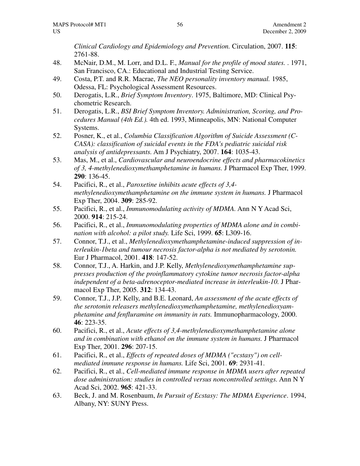*Clinical Cardiology and Epidemiology and Prevention.* Circulation, 2007. **115**: 2761-88.

- 48. McNair, D.M., M. Lorr, and D.L. F., *Manual for the profile of mood states.* . 1971, San Francisco, CA.: Educational and Industrial Testing Service.
- 49. Costa, P.T. and R.R. Macrae, *The NEO personality inventory manual.* 1985, Odessa, FL: Psychological Assessment Resources.
- 50. Derogatis, L.R., *Brief Symptom Inventory*. 1975, Baltimore, MD: Clinical Psychometric Research.
- 51. Derogatis, L.R., *BSI Brief Symptom Inventory. Administration, Scoring, and Procedures Manual (4th Ed.).* 4th ed. 1993, Minneapolis, MN: National Computer Systems.
- 52. Posner, K., et al., *Columbia Classification Algorithm of Suicide Assessment (C-CASA): classification of suicidal events in the FDA's pediatric suicidal risk analysis of antidepressants.* Am J Psychiatry, 2007. **164**: 1035-43.
- 53. Mas, M., et al., *Cardiovascular and neuroendocrine effects and pharmacokinetics of 3, 4-methylenedioxymethamphetamine in humans.* J Pharmacol Exp Ther, 1999. **290**: 136-45.
- 54. Pacifici, R., et al., *Paroxetine inhibits acute effects of 3,4 methylenedioxymethamphetamine on the immune system in humans.* J Pharmacol Exp Ther, 2004. **309**: 285-92.
- 55. Pacifici, R., et al., *Immunomodulating activity of MDMA.* Ann N Y Acad Sci, 2000. **914**: 215-24.
- 56. Pacifici, R., et al., *Immunomodulating properties of MDMA alone and in combination with alcohol: a pilot study.* Life Sci, 1999. **65**: L309-16.
- 57. Connor, T.J., et al., *Methylenedioxymethamphetamine-induced suppression of interleukin-1beta and tumour necrosis factor-alpha is not mediated by serotonin.* Eur J Pharmacol, 2001. **418**: 147-52.
- 58. Connor, T.J., A. Harkin, and J.P. Kelly, *Methylenedioxymethamphetamine suppresses production of the proinflammatory cytokine tumor necrosis factor-alpha independent of a beta-adrenoceptor-mediated increase in interleukin-10.* J Pharmacol Exp Ther, 2005. **312**: 134-43.
- 59. Connor, T.J., J.P. Kelly, and B.E. Leonard, *An assessment of the acute effects of the serotonin releasers methylenedioxymethamphetamine, methylenedioxyamphetamine and fenfluramine on immunity in rats.* Immunopharmacology, 2000. **46**: 223-35.
- 60. Pacifici, R., et al., *Acute effects of 3,4-methylenedioxymethamphetamine alone and in combination with ethanol on the immune system in humans.* J Pharmacol Exp Ther, 2001. **296**: 207-15.
- 61. Pacifici, R., et al., *Effects of repeated doses of MDMA ("ecstasy") on cellmediated immune response in humans.* Life Sci, 2001. **69**: 2931-41.
- 62. Pacifici, R., et al., *Cell-mediated immune response in MDMA users after repeated dose administration: studies in controlled versus noncontrolled settings.* Ann N Y Acad Sci, 2002. **965**: 421-33.
- 63. Beck, J. and M. Rosenbaum, *In Pursuit of Ecstasy: The MDMA Experience*. 1994, Albany, NY: SUNY Press.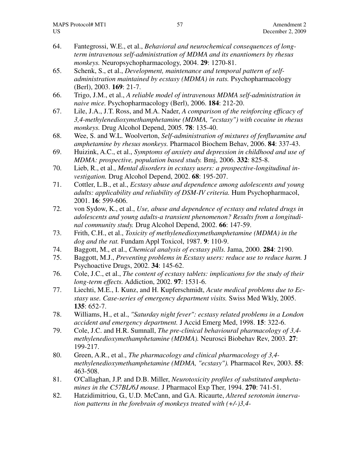- 64. Fantegrossi, W.E., et al., *Behavioral and neurochemical consequences of longterm intravenous self-administration of MDMA and its enantiomers by rhesus monkeys.* Neuropsychopharmacology, 2004. **29**: 1270-81.
- 65. Schenk, S., et al., *Development, maintenance and temporal pattern of selfadministration maintained by ecstasy (MDMA) in rats.* Psychopharmacology (Berl), 2003. **169**: 21-7.
- 66. Trigo, J.M., et al., *A reliable model of intravenous MDMA self-administration in naive mice.* Psychopharmacology (Berl), 2006. **184**: 212-20.
- 67. Lile, J.A., J.T. Ross, and M.A. Nader, *A comparison of the reinforcing efficacy of 3,4-methylenedioxymethamphetamine (MDMA, "ecstasy") with cocaine in rhesus monkeys.* Drug Alcohol Depend, 2005. **78**: 135-40.
- 68. Wee, S. and W.L. Woolverton, *Self-administration of mixtures of fenfluramine and amphetamine by rhesus monkeys.* Pharmacol Biochem Behav, 2006. **84**: 337-43.
- 69. Huizink, A.C., et al., *Symptoms of anxiety and depression in childhood and use of MDMA: prospective, population based study.* Bmj, 2006. **332**: 825-8.
- 70. Lieb, R., et al., *Mental disorders in ecstasy users: a prospective-longitudinal investigation.* Drug Alcohol Depend, 2002. **68**: 195-207.
- 71. Cottler, L.B., et al., *Ecstasy abuse and dependence among adolescents and young adults: applicability and reliability of DSM-IV criteria.* Hum Psychopharmacol, 2001. **16**: 599-606.
- 72. von Sydow, K., et al., *Use, abuse and dependence of ecstasy and related drugs in adolescents and young adults-a transient phenomenon? Results from a longitudinal community study.* Drug Alcohol Depend, 2002. **66**: 147-59.
- 73. Frith, C.H., et al., *Toxicity of methylenedioxymethamphetamine (MDMA) in the dog and the rat.* Fundam Appl Toxicol, 1987. **9**: 110-9.
- 74. Baggott, M., et al., *Chemical analysis of ecstasy pills.* Jama, 2000. **284**: 2190.
- 75. Baggott, M.J., *Preventing problems in Ecstasy users: reduce use to reduce harm.* J Psychoactive Drugs, 2002. **34**: 145-62.
- 76. Cole, J.C., et al., *The content of ecstasy tablets: implications for the study of their long-term effects.* Addiction, 2002. **97**: 1531-6.
- 77. Liechti, M.E., I. Kunz, and H. Kupferschmidt, *Acute medical problems due to Ecstasy use. Case-series of emergency department visits.* Swiss Med Wkly, 2005. **135**: 652-7.
- 78. Williams, H., et al., *"Saturday night fever": ecstasy related problems in a London accident and emergency department.* J Accid Emerg Med, 1998. **15**: 322-6.
- 79. Cole, J.C. and H.R. Sumnall, *The pre-clinical behavioural pharmacology of 3,4 methylenedioxymethamphetamine (MDMA).* Neurosci Biobehav Rev, 2003. **27**: 199-217.
- 80. Green, A.R., et al., *The pharmacology and clinical pharmacology of 3,4 methylenedioxymethamphetamine (MDMA, "ecstasy").* Pharmacol Rev, 2003. **55**: 463-508.
- 81. O'Callaghan, J.P. and D.B. Miller, *Neurotoxicity profiles of substituted amphetamines in the C57BL/6J mouse.* J Pharmacol Exp Ther, 1994. **270**: 741-51.
- 82. Hatzidimitriou, G., U.D. McCann, and G.A. Ricaurte, *Altered serotonin innervation patterns in the forebrain of monkeys treated with (+/-)3,4-*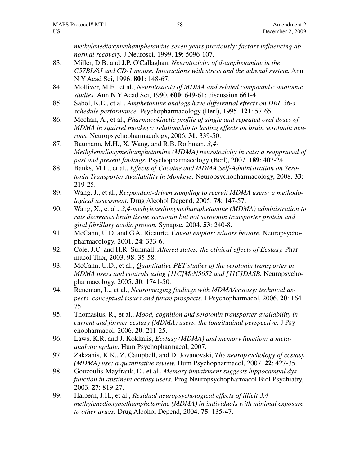*methylenedioxymethamphetamine seven years previously: factors influencing abnormal recovery.* J Neurosci, 1999. **19**: 5096-107.

- 83. Miller, D.B. and J.P. O'Callaghan, *Neurotoxicity of d-amphetamine in the C57BL/6J and CD-1 mouse. Interactions with stress and the adrenal system.* Ann N Y Acad Sci, 1996. **801**: 148-67.
- 84. Molliver, M.E., et al., *Neurotoxicity of MDMA and related compounds: anatomic studies.* Ann N Y Acad Sci, 1990. **600**: 649-61; discussion 661-4.
- 85. Sabol, K.E., et al., *Amphetamine analogs have differential effects on DRL 36-s schedule performance.* Psychopharmacology (Berl), 1995. **121**: 57-65.
- 86. Mechan, A., et al., *Pharmacokinetic profile of single and repeated oral doses of MDMA in squirrel monkeys: relationship to lasting effects on brain serotonin neurons.* Neuropsychopharmacology, 2006. **31**: 339-50.
- 87. Baumann, M.H., X. Wang, and R.B. Rothman, *3,4- Methylenedioxymethamphetamine (MDMA) neurotoxicity in rats: a reappraisal of past and present findings.* Psychopharmacology (Berl), 2007. **189**: 407-24.
- 88. Banks, M.L., et al., *Effects of Cocaine and MDMA Self-Administration on Serotonin Transporter Availability in Monkeys.* Neuropsychopharmacology, 2008. **33**: 219-25.
- 89. Wang, J., et al., *Respondent-driven sampling to recruit MDMA users: a methodological assessment.* Drug Alcohol Depend, 2005. **78**: 147-57.
- 90. Wang, X., et al., *3,4-methylenedioxymethamphetamine (MDMA) administration to rats decreases brain tissue serotonin but not serotonin transporter protein and glial fibrillary acidic protein.* Synapse, 2004. **53**: 240-8.
- 91. McCann, U.D. and G.A. Ricaurte, *Caveat emptor: editors beware.* Neuropsychopharmacology, 2001. **24**: 333-6.
- 92. Cole, J.C. and H.R. Sumnall, *Altered states: the clinical effects of Ecstasy.* Pharmacol Ther, 2003. **98**: 35-58.
- 93. McCann, U.D., et al., *Quantitative PET studies of the serotonin transporter in MDMA users and controls using [11C]McN5652 and [11C]DASB.* Neuropsychopharmacology, 2005. **30**: 1741-50.
- 94. Reneman, L., et al., *Neuroimaging findings with MDMA/ecstasy: technical aspects, conceptual issues and future prospects.* J Psychopharmacol, 2006. **20**: 164- 75.
- 95. Thomasius, R., et al., *Mood, cognition and serotonin transporter availability in current and former ecstasy (MDMA) users: the longitudinal perspective.* J Psychopharmacol, 2006. **20**: 211-25.
- 96. Laws, K.R. and J. Kokkalis, *Ecstasy (MDMA) and memory function: a metaanalytic update.* Hum Psychopharmacol, 2007.
- 97. Zakzanis, K.K., Z. Campbell, and D. Jovanovski, *The neuropsychology of ecstasy (MDMA) use: a quantitative review.* Hum Psychopharmacol, 2007. **22**: 427-35.
- 98. Gouzoulis-Mayfrank, E., et al., *Memory impairment suggests hippocampal dysfunction in abstinent ecstasy users.* Prog Neuropsychopharmacol Biol Psychiatry, 2003. **27**: 819-27.
- 99. Halpern, J.H., et al., *Residual neuropsychological effects of illicit 3,4 methylenedioxymethamphetamine (MDMA) in individuals with minimal exposure to other drugs.* Drug Alcohol Depend, 2004. **75**: 135-47.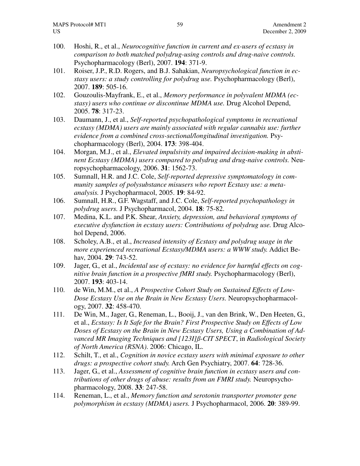- 100. Hoshi, R., et al., *Neurocognitive function in current and ex-users of ecstasy in comparison to both matched polydrug-using controls and drug-naive controls.* Psychopharmacology (Berl), 2007. **194**: 371-9.
- 101. Roiser, J.P., R.D. Rogers, and B.J. Sahakian, *Neuropsychological function in ecstasy users: a study controlling for polydrug use.* Psychopharmacology (Berl), 2007. **189**: 505-16.
- 102. Gouzoulis-Mayfrank, E., et al., *Memory performance in polyvalent MDMA (ecstasy) users who continue or discontinue MDMA use.* Drug Alcohol Depend, 2005. **78**: 317-23.
- 103. Daumann, J., et al., *Self-reported psychopathological symptoms in recreational ecstasy (MDMA) users are mainly associated with regular cannabis use: further evidence from a combined cross-sectional/longitudinal investigation.* Psychopharmacology (Berl), 2004. **173**: 398-404.
- 104. Morgan, M.J., et al., *Elevated impulsivity and impaired decision-making in abstinent Ecstasy (MDMA) users compared to polydrug and drug-naive controls.* Neuropsychopharmacology, 2006. **31**: 1562-73.
- 105. Sumnall, H.R. and J.C. Cole, *Self-reported depressive symptomatology in community samples of polysubstance misusers who report Ecstasy use: a metaanalysis.* J Psychopharmacol, 2005. **19**: 84-92.
- 106. Sumnall, H.R., G.F. Wagstaff, and J.C. Cole, *Self-reported psychopathology in polydrug users.* J Psychopharmacol, 2004. **18**: 75-82.
- 107. Medina, K.L. and P.K. Shear, *Anxiety, depression, and behavioral symptoms of executive dysfunction in ecstasy users: Contributions of polydrug use.* Drug Alcohol Depend, 2006.
- 108. Scholey, A.B., et al., *Increased intensity of Ecstasy and polydrug usage in the more experienced recreational Ecstasy/MDMA users: a WWW study.* Addict Behav, 2004. **29**: 743-52.
- 109. Jager, G., et al., *Incidental use of ecstasy: no evidence for harmful effects on cognitive brain function in a prospective fMRI study.* Psychopharmacology (Berl), 2007. **193**: 403-14.
- 110. de Win, M.M., et al., *A Prospective Cohort Study on Sustained Effects of Low-Dose Ecstasy Use on the Brain in New Ecstasy Users.* Neuropsychopharmacology, 2007. **32**: 458-470.
- 111. De Win, M., Jager, G., Reneman, L., Booij, J., van den Brink, W., Den Heeten, G., et al., *Ecstasy: Is It Safe for the Brain? First Prospective Study on Effects of Low Doses of Ecstasy on the Brain in New Ecstasy Users, Using a Combination of Advanced MR Imaging Techniques and [123I]ß-CIT SPECT*, in *Radiological Society of North America (RSNA)*. 2006: Chicago, IL.
- 112. Schilt, T., et al., *Cognition in novice ecstasy users with minimal exposure to other drugs: a prospective cohort study.* Arch Gen Psychiatry, 2007. **64**: 728-36.
- 113. Jager, G., et al., *Assessment of cognitive brain function in ecstasy users and contributions of other drugs of abuse: results from an FMRI study.* Neuropsychopharmacology, 2008. **33**: 247-58.
- 114. Reneman, L., et al., *Memory function and serotonin transporter promoter gene polymorphism in ecstasy (MDMA) users.* J Psychopharmacol, 2006. **20**: 389-99.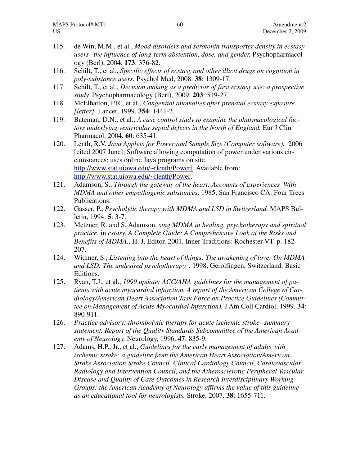- 115. de Win, M.M., et al., *Mood disorders and serotonin transporter density in ecstasy users--the influence of long-term abstention, dose, and gender.* Psychopharmacology (Berl), 2004. **173**: 376-82.
- 116. Schilt, T., et al., *Specific effects of ecstasy and other illicit drugs on cognition in poly-substance users.* Psychol Med, 2008. **38**: 1309-17.
- 117. Schilt, T., et al., *Decision making as a predictor of first ecstasy use: a prospective study.* Psychopharmacology (Berl), 2009. **203**: 519-27.
- 118. McElhatton, P.R., et al., *Congenital anomalies after prenatal ecstasy exposure [letter].* Lancet, 1999. **354**: 1441-2.
- 119. Bateman, D.N., et al., *A case control study to examine the pharmacological factors underlying ventricular septal defects in the North of England.* Eur J Clin Pharmacol, 2004. **60**: 635-41.
- 120. Lenth, R.V. *Java Applets for Power and Sample Size (Computer software).* 2006 [cited 2007 June]; Software allowing computation of power under various circumstances; uses online Java programs on site. http://www.stat.uiowa.edu/~rlenth/Power]. Available from: http://www.stat.uiowa.edu/~rlenth/Power.
- 121. Adamson, S., *Through the gateway of the heart: Accounts of experiences With MDMA and other empathogenic substances*. 1985, San Francisco CA: Four Trees Publications.
- 122. Gasser, P., *Psycholytic therapy with MDMA and LSD in Switzerland.* MAPS Bulletin, 1994. **5**: 3-7.
- 123. Metzner, R. and S. Adamson, *sing MDMA in healing, psychotherapy and spiritual practice*, in *cstasy, A Complete Guide: A Comprehensive Look at the Risks and Benefits of MDMA.*, H. J, Editor. 2001, Inner Traditions: Rochester VT. p. 182- 207.
- 124. Widmer, S., *Listening into the heart of things: The awakening of love: On MDMA and LSD: The undesired psychotherapy.* . 1998, Gerolfingen, Switzerland: Basic Editions.
- 125. Ryan, T.J., et al., *1999 update: ACC/AHA guidelines for the management of patients with acute myocardial infarction. A report of the American College of Cardiology/American Heart Association Task Force on Practice Guidelines (Committee on Management of Acute Myocardial Infarction).* J Am Coll Cardiol, 1999. **34**: 890-911.
- 126. *Practice advisory: thrombolytic therapy for acute ischemic stroke--summary statement. Report of the Quality Standards Subcommittee of the American Academy of Neurology.* Neurology, 1996. **47**: 835-9.
- 127. Adams, H.P., Jr., et al., *Guidelines for the early management of adults with ischemic stroke: a guideline from the American Heart Association/American Stroke Association Stroke Council, Clinical Cardiology Council, Cardiovascular Radiology and Intervention Council, and the Atherosclerotic Peripheral Vascular Disease and Quality of Care Outcomes in Research Interdisciplinary Working Groups: the American Academy of Neurology affirms the value of this guideline as an educational tool for neurologists.* Stroke, 2007. **38**: 1655-711.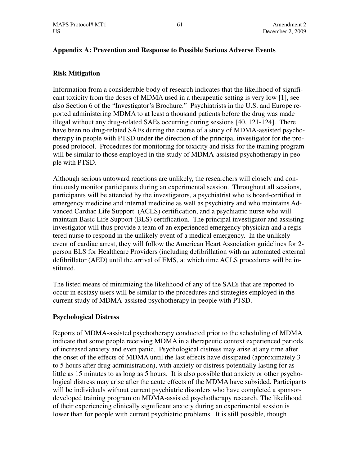# **Appendix A: Prevention and Response to Possible Serious Adverse Events**

# **Risk Mitigation**

Information from a considerable body of research indicates that the likelihood of significant toxicity from the doses of MDMA used in a therapeutic setting is very low [1], see also Section 6 of the "Investigator's Brochure." Psychiatrists in the U.S. and Europe reported administering MDMA to at least a thousand patients before the drug was made illegal without any drug-related SAEs occurring during sessions [40, 121-124]. There have been no drug-related SAEs during the course of a study of MDMA-assisted psychotherapy in people with PTSD under the direction of the principal investigator for the proposed protocol. Procedures for monitoring for toxicity and risks for the training program will be similar to those employed in the study of MDMA-assisted psychotherapy in people with PTSD.

Although serious untoward reactions are unlikely, the researchers will closely and continuously monitor participants during an experimental session. Throughout all sessions, participants will be attended by the investigators, a psychiatrist who is board-certified in emergency medicine and internal medicine as well as psychiatry and who maintains Advanced Cardiac Life Support (ACLS) certification, and a psychiatric nurse who will maintain Basic Life Support (BLS) certification. The principal investigator and assisting investigator will thus provide a team of an experienced emergency physician and a registered nurse to respond in the unlikely event of a medical emergency. In the unlikely event of cardiac arrest, they will follow the American Heart Association guidelines for 2 person BLS for Healthcare Providers (including defibrillation with an automated external defibrillator (AED) until the arrival of EMS, at which time ACLS procedures will be instituted.

The listed means of minimizing the likelihood of any of the SAEs that are reported to occur in ecstasy users will be similar to the procedures and strategies employed in the current study of MDMA-assisted psychotherapy in people with PTSD.

# **Psychological Distress**

Reports of MDMA-assisted psychotherapy conducted prior to the scheduling of MDMA indicate that some people receiving MDMA in a therapeutic context experienced periods of increased anxiety and even panic. Psychological distress may arise at any time after the onset of the effects of MDMA until the last effects have dissipated (approximately 3 to 5 hours after drug administration), with anxiety or distress potentially lasting for as little as 15 minutes to as long as 5 hours. It is also possible that anxiety or other psychological distress may arise after the acute effects of the MDMA have subsided. Participants will be individuals without current psychiatric disorders who have completed a sponsordeveloped training program on MDMA-assisted psychotherapy research. The likelihood of their experiencing clinically significant anxiety during an experimental session is lower than for people with current psychiatric problems. It is still possible, though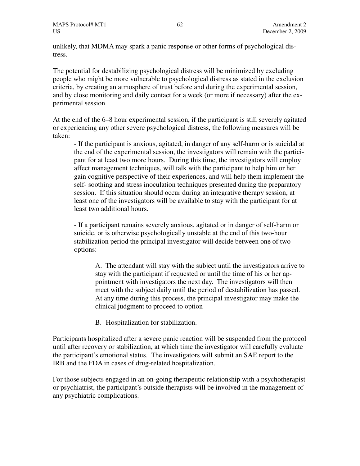unlikely, that MDMA may spark a panic response or other forms of psychological distress.

The potential for destabilizing psychological distress will be minimized by excluding people who might be more vulnerable to psychological distress as stated in the exclusion criteria, by creating an atmosphere of trust before and during the experimental session, and by close monitoring and daily contact for a week (or more if necessary) after the experimental session.

At the end of the 6–8 hour experimental session, if the participant is still severely agitated or experiencing any other severe psychological distress, the following measures will be taken:

- If the participant is anxious, agitated, in danger of any self-harm or is suicidal at the end of the experimental session, the investigators will remain with the participant for at least two more hours. During this time, the investigators will employ affect management techniques, will talk with the participant to help him or her gain cognitive perspective of their experiences, and will help them implement the self- soothing and stress inoculation techniques presented during the preparatory session. If this situation should occur during an integrative therapy session, at least one of the investigators will be available to stay with the participant for at least two additional hours.

- If a participant remains severely anxious, agitated or in danger of self-harm or suicide, or is otherwise psychologically unstable at the end of this two-hour stabilization period the principal investigator will decide between one of two options:

A. The attendant will stay with the subject until the investigators arrive to stay with the participant if requested or until the time of his or her appointment with investigators the next day. The investigators will then meet with the subject daily until the period of destabilization has passed. At any time during this process, the principal investigator may make the clinical judgment to proceed to option

B. Hospitalization for stabilization.

Participants hospitalized after a severe panic reaction will be suspended from the protocol until after recovery or stabilization, at which time the investigator will carefully evaluate the participant's emotional status. The investigators will submit an SAE report to the IRB and the FDA in cases of drug-related hospitalization.

For those subjects engaged in an on-going therapeutic relationship with a psychotherapist or psychiatrist, the participant's outside therapists will be involved in the management of any psychiatric complications.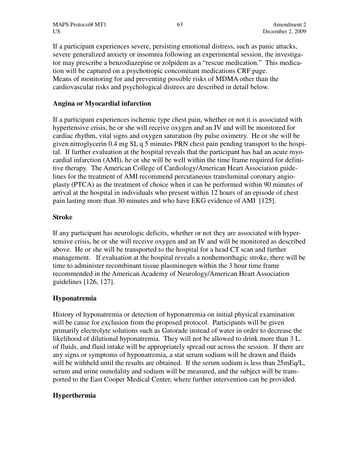MAPS Protocol# MT1 63 63 Amendment 2 US December 2, 2009

If a participant experiences severe, persisting emotional distress, such as panic attacks, severe generalized anxiety or insomnia following an experimental session, the investigator may prescribe a benzodiazepine or zolpidem as a "rescue medication." This medication will be captured on a psychotropic concomitant medications CRF page. Means of monitoring for and preventing possible risks of MDMA other than the cardiovascular risks and psychological distress are described in detail below.

### **Angina or Myocardial infarction**

If a participant experiences ischemic type chest pain, whether or not it is associated with hypertensive crisis, he or she will receive oxygen and an IV and will be monitored for cardiac rhythm, vital signs and oxygen saturation (by pulse oximetry. He or she will be given nitroglycerin 0.4 mg SL q 5 minutes PRN chest pain pending transport to the hospital. If further evaluation at the hospital reveals that the participant has had an acute myocardial infarction (AMI), he or she will be well within the time frame required for definitive therapy. The American College of Cardiology/American Heart Association guidelines for the treatment of AMI recommend percutaneous transluminal coronary angioplasty (PTCA) as the treatment of choice when it can be performed within 90 minutes of arrival at the hospital in individuals who present within 12 hours of an episode of chest pain lasting more than 30 minutes and who have EKG evidence of AMI [125].

#### **Stroke**

If any participant has neurologic deficits, whether or not they are associated with hypertensive crisis, he or she will receive oxygen and an IV and will be monitored as described above. He or she will be transported to the hospital for a head CT scan and further management. If evaluation at the hospital reveals a nonhemorrhagic stroke, there will be time to administer recombinant tissue plasminogen within the 3 hour time frame recommended in the American Academy of Neurology/American Heart Association guidelines [126, 127].

#### **Hyponatremia**

History of hyponatremia or detection of hyponatremia on initial physical examination will be cause for exclusion from the proposed protocol. Participants will be given primarily electrolyte solutions such as Gatorade instead of water in order to decrease the likelihood of dilutional hyponatremia. They will not be allowed to drink more than 3 L. of fluids, and fluid intake will be appropriately spread out across the session. If there are any signs or symptoms of hyponatremia, a stat serum sodium will be drawn and fluids will be withheld until the results are obtained. If the serum sodium is less than  $25mEq/L$ , serum and urine osmolality and sodium will be measured, and the subject will be transported to the East Cooper Medical Center, where further intervention can be provided.

#### **Hyperthermia**